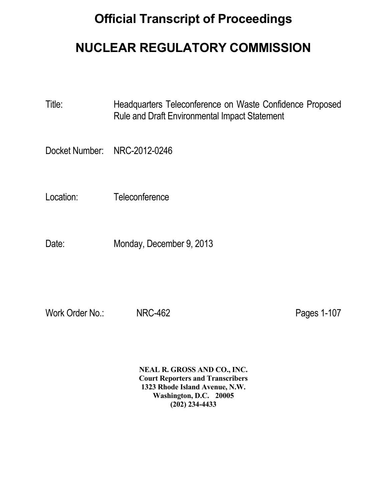# **Official Transcript of Proceedings**

# **NUCLEAR REGULATORY COMMISSION**

Title: Headquarters Teleconference on Waste Confidence Proposed Rule and Draft Environmental Impact Statement

Docket Number: NRC-2012-0246

Location: Teleconference

Date: Monday, December 9, 2013

Work Order No.: NRC-462 Pages 1-107

 **NEAL R. GROSS AND CO., INC. Court Reporters and Transcribers 1323 Rhode Island Avenue, N.W. Washington, D.C. 20005 (202) 234-4433**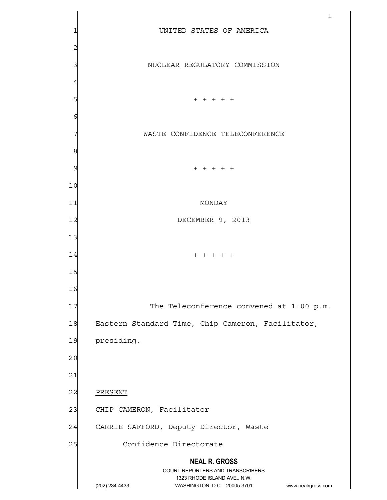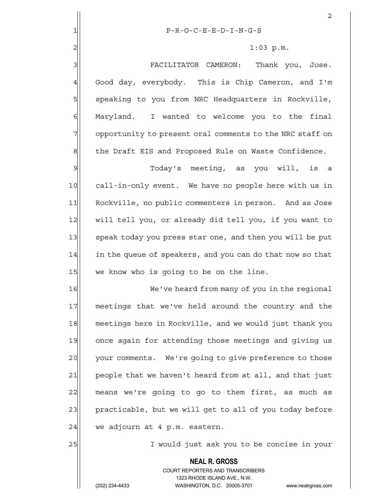|                | $\overline{a}$                                           |
|----------------|----------------------------------------------------------|
| 1              | $P-R-O-C-E-E-D-I-N-G-S$                                  |
| $\overline{c}$ | $1:03$ p.m.                                              |
| 3              | FACILITATOR CAMERON: Thank you, Jose.                    |
| 4              | Good day, everybody. This is Chip Cameron, and I'm       |
| 5              | speaking to you from NRC Headquarters in Rockville,      |
| 6              | Maryland. I wanted to welcome you to the final           |
| 7              | opportunity to present oral comments to the NRC staff on |
| 8              | the Draft EIS and Proposed Rule on Waste Confidence.     |
| 9              | Today's meeting, as you will, is a                       |
| $\overline{O}$ | call-in-only event. We have no people here with us in    |

10 call-in-only event. We have no people here with us in 11 Rockville, no public commenters in person. And as Jose 12 will tell you, or already did tell you, if you want to 13 speak today you press star one, and then you will be put 14 in the queue of speakers, and you can do that now so that 15 we know who is going to be on the line.

16 We've heard from many of you in the regional 17 meetings that we've held around the country and the 18 meetings here in Rockville, and we would just thank you 19 once again for attending those meetings and giving us 20 your comments. We're going to give preference to those 21 people that we haven't heard from at all, and that just  $22$  means we're going to go to them first, as much as 23 practicable, but we will get to all of you today before  $24$  we adjourn at 4 p.m. eastern.

25 I would just ask you to be concise in your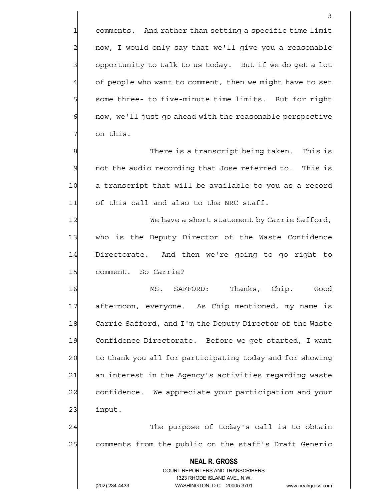1 comments. And rather than setting a specific time limit 2 | now, I would only say that we'll give you a reasonable  $3$  opportunity to talk to us today. But if we do get a lot  $4$  of people who want to comment, then we might have to set 5 some three- to five-minute time limits. But for right  $6$  now, we'll just go ahead with the reasonable perspective 7 on this.

8 8 Refers There is a transcript being taken. This is  $9$  not the audio recording that Jose referred to. This is 10 a transcript that will be available to you as a record 11 of this call and also to the NRC staff.

12 We have a short statement by Carrie Safford, 13 who is the Deputy Director of the Waste Confidence 14 Directorate. And then we're going to go right to 15 comment. So Carrie?

16 MS. SAFFORD: Thanks, Chip. Good 17 afternoon, everyone. As Chip mentioned, my name is 18 Carrie Safford, and I'm the Deputy Director of the Waste 19 Confidence Directorate. Before we get started, I want 20 to thank you all for participating today and for showing 21 an interest in the Agency's activities regarding waste 22 confidence. We appreciate your participation and your 23 input.

24  $\vert$  The purpose of today's call is to obtain 25 comments from the public on the staff's Draft Generic

> COURT REPORTERS AND TRANSCRIBERS 1323 RHODE ISLAND AVE., N.W. (202) 234-4433 WASHINGTON, D.C. 20005-3701 www.nealrgross.com

 **NEAL R. GROSS**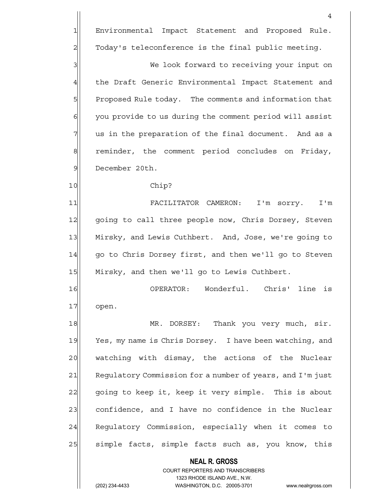1 Environmental Impact Statement and Proposed Rule. 2 Today's teleconference is the final public meeting.

3 We look forward to receiving your input on 4 the Draft Generic Environmental Impact Statement and 5 **Proposed Rule today.** The comments and information that 6 6 you provide to us during the comment period will assist 7 7 us in the preparation of the final document. And as a 8 8 reminder, the comment period concludes on Friday, 9 December 20th.

#### 10 Chip?

11 FACILITATOR CAMERON: I'm sorry. I'm 12 | going to call three people now, Chris Dorsey, Steven 13 Mirsky, and Lewis Cuthbert. And, Jose, we're going to 14 | qo to Chris Dorsey first, and then we'll go to Steven 15 Mirsky, and then we'll go to Lewis Cuthbert.

16 OPERATOR: Wonderful. Chris' line is 17 open.

18 MR. DORSEY: Thank you very much, sir. 19 Yes, my name is Chris Dorsey. I have been watching, and 20 watching with dismay, the actions of the Nuclear 21 Regulatory Commission for a number of years, and I'm just 22 going to keep it, keep it very simple. This is about 23 confidence, and I have no confidence in the Nuclear 24 Regulatory Commission, especially when it comes to 25 Simple facts, simple facts such as, you know, this

 **NEAL R. GROSS**

 COURT REPORTERS AND TRANSCRIBERS 1323 RHODE ISLAND AVE., N.W.

(202) 234-4433 WASHINGTON, D.C. 20005-3701 www.nealrgross.com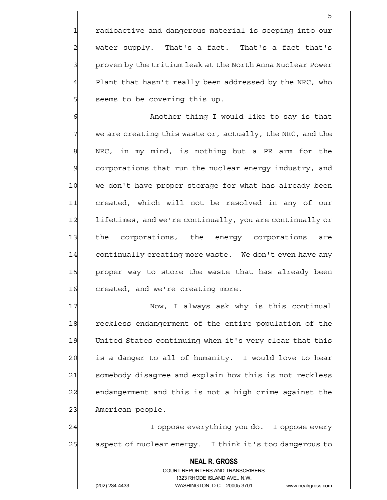1 radioactive and dangerous material is seeping into our  $2\vert$  water supply. That's a fact. That's a fact that's 3 proven by the tritium leak at the North Anna Nuclear Power  $4$  Plant that hasn't really been addressed by the NRC, who 5 | seems to be covering this up.

6 6 Another thing I would like to say is that  $7$  we are creating this waste or, actually, the NRC, and the  $8$  NRC, in my mind, is nothing but a PR arm for the 9 | corporations that run the nuclear energy industry, and 10 we don't have proper storage for what has already been 11 created, which will not be resolved in any of our 12 lifetimes, and we're continually, you are continually or 13 the corporations, the energy corporations are 14 continually creating more waste. We don't even have any 15 proper way to store the waste that has already been 16 created, and we're creating more.

17 Now, I always ask why is this continual 18 reckless endangerment of the entire population of the 19 United States continuing when it's very clear that this 20 is a danger to all of humanity. I would love to hear 21 Somebody disagree and explain how this is not reckless 22 endangerment and this is not a high crime against the 23 American people.

24 | I oppose everything you do. I oppose every 25 aspect of nuclear energy. I think it's too dangerous to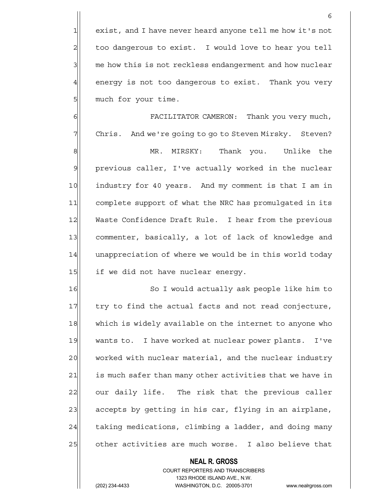1 exist, and I have never heard anyone tell me how it's not 2 too dangerous to exist. I would love to hear you tell 3 me how this is not reckless endangerment and how nuclear 4 energy is not too dangerous to exist. Thank you very 5 much for your time.

6 | FACILITATOR CAMERON: Thank you very much, 7 Chris. And we're going to go to Steven Mirsky. Steven? 8 MR. MIRSKY: Thank you. Unlike the 9 previous caller, I've actually worked in the nuclear 10 industry for 40 years. And my comment is that I am in 11 complete support of what the NRC has promulgated in its 12 Waste Confidence Draft Rule. I hear from the previous 13 commenter, basically, a lot of lack of knowledge and 14 unappreciation of where we would be in this world today 15 if we did not have nuclear energy.

16 So I would actually ask people like him to 17 try to find the actual facts and not read conjecture, 18 which is widely available on the internet to anyone who 19 wants to. I have worked at nuclear power plants. I've 20 worked with nuclear material, and the nuclear industry 21 is much safer than many other activities that we have in 22 our daily life. The risk that the previous caller 23 accepts by getting in his car, flying in an airplane, 24 taking medications, climbing a ladder, and doing many 25 other activities are much worse. I also believe that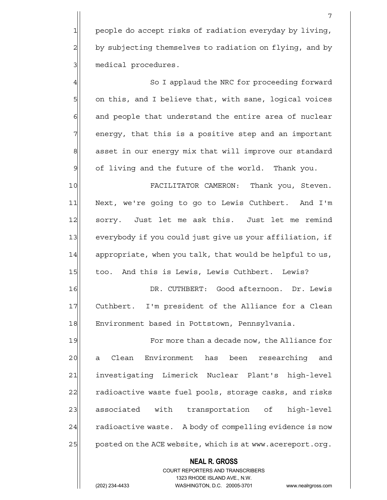1 people do accept risks of radiation everyday by living, 2 by subjecting themselves to radiation on flying, and by 3| medical procedures.

4 So I applaud the NRC for proceeding forward 5 5 5 on this, and I believe that, with sane, logical voices  $6$  and people that understand the entire area of nuclear  $7$  energy, that this is a positive step and an important 8 asset in our energy mix that will improve our standard  $\mathfrak{g}$  of living and the future of the world. Thank you.

10 FACILITATOR CAMERON: Thank you, Steven. 11 Next, we're going to go to Lewis Cuthbert. And I'm 12 sorry. Just let me ask this. Just let me remind 13 everybody if you could just give us your affiliation, if  $14$  appropriate, when you talk, that would be helpful to us, 15 too. And this is Lewis, Lewis Cuthbert. Lewis?

16 DR. CUTHBERT: Good afternoon. Dr. Lewis 17 Cuthbert. I'm president of the Alliance for a Clean 18 Environment based in Pottstown, Pennsylvania.

19 **For more than a decade now, the Alliance for** 20 a Clean Environment has been researching and 21 investigating Limerick Nuclear Plant's high-level 22 radioactive waste fuel pools, storage casks, and risks 23 associated with transportation of high-level 24 radioactive waste. A body of compelling evidence is now 25 posted on the ACE website, which is at www.acereport.org.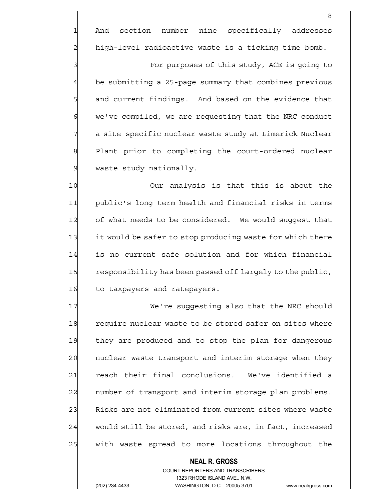1 And section number nine specifically addresses 2 high-level radioactive waste is a ticking time bomb.

3 3 For purposes of this study, ACE is going to 4 be submitting a 25-page summary that combines previous 5 5 5 5 and current findings. And based on the evidence that 6 we've compiled, we are requesting that the NRC conduct 7 a site-specific nuclear waste study at Limerick Nuclear 8 Plant prior to completing the court-ordered nuclear 9 waste study nationally.

10 Our analysis is that this is about the 11 public's long-term health and financial risks in terms 12 of what needs to be considered. We would suggest that 13 it would be safer to stop producing waste for which there 14 is no current safe solution and for which financial 15 responsibility has been passed off largely to the public, 16 to taxpayers and ratepayers.

17 We're suggesting also that the NRC should 18 require nuclear waste to be stored safer on sites where 19 they are produced and to stop the plan for dangerous 20 | nuclear waste transport and interim storage when they 21 reach their final conclusions. We've identified a 22 number of transport and interim storage plan problems. 23 Risks are not eliminated from current sites where waste 24 would still be stored, and risks are, in fact, increased 25 | with waste spread to more locations throughout the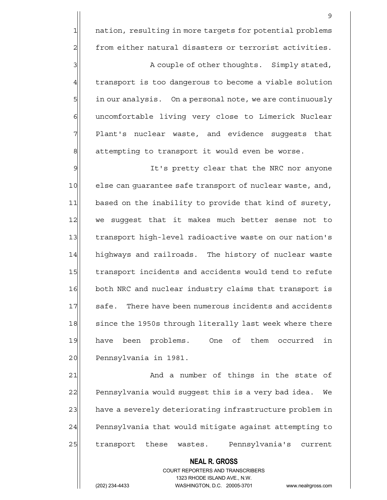1 nation, resulting in more targets for potential problems 2 from either natural disasters or terrorist activities.

3 3 A couple of other thoughts. Simply stated, 4 transport is too dangerous to become a viable solution 5 in our analysis. On a personal note, we are continuously 6 6 6 6 uncomfortable living very close to Limerick Nuclear 7 Plant's nuclear waste, and evidence suggests that  $8$  attempting to transport it would even be worse.

9 9 It's pretty clear that the NRC nor anyone 10 else can guarantee safe transport of nuclear waste, and, 11 based on the inability to provide that kind of surety, 12 we suggest that it makes much better sense not to 13 transport high-level radioactive waste on our nation's 14 highways and railroads. The history of nuclear waste 15 transport incidents and accidents would tend to refute 16 both NRC and nuclear industry claims that transport is 17 safe. There have been numerous incidents and accidents 18 since the 1950s through literally last week where there 19 have been problems. One of them occurred in 20 Pennsylvania in 1981.

21 and a number of things in the state of 22 Pennsylvania would suggest this is a very bad idea. We 23 have a severely deteriorating infrastructure problem in 24 Pennsylvania that would mitigate against attempting to 25 | transport these wastes. Pennsylvania's current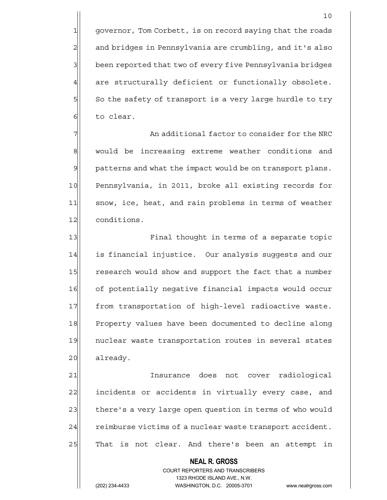1 governor, Tom Corbett, is on record saying that the roads  $2$  and bridges in Pennsylvania are crumbling, and it's also 3 been reported that two of every five Pennsylvania bridges 4 are structurally deficient or functionally obsolete. 5 So the safety of transport is a very large hurdle to try 6 bolear.

7 The Summan and an additional factor to consider for the NRC 8 would be increasing extreme weather conditions and  $9$  patterns and what the impact would be on transport plans. 10 Pennsylvania, in 2011, broke all existing records for 11 snow, ice, heat, and rain problems in terms of weather 12 conditions.

13 Final thought in terms of a separate topic 14 is financial injustice. Our analysis suggests and our 15 research would show and support the fact that a number 16 of potentially negative financial impacts would occur 17 | from transportation of high-level radioactive waste. 18 Property values have been documented to decline along 19 nuclear waste transportation routes in several states 20 already.

21 Insurance does not cover radiological 22 incidents or accidents in virtually every case, and 23 there's a very large open question in terms of who would  $24$  reimburse victims of a nuclear waste transport accident. 25 | That is not clear. And there's been an attempt in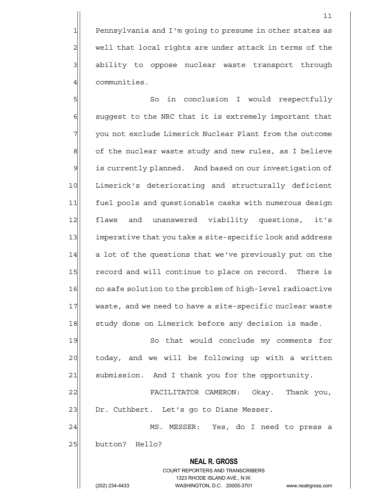1 Pennsylvania and I'm going to presume in other states as  $2$  well that local rights are under attack in terms of the 3 3 ability to oppose nuclear waste transport through 4 communities.

5 | So in conclusion I would respectfully  $6$  suggest to the NRC that it is extremely important that 7 you not exclude Limerick Nuclear Plant from the outcome 8 of the nuclear waste study and new rules, as I believe 9 is currently planned. And based on our investigation of 10 Limerick's deteriorating and structurally deficient 11 fuel pools and questionable casks with numerous design 12 flaws and unanswered viability questions, it's 13 imperative that you take a site-specific look and address 14 a lot of the questions that we've previously put on the 15 record and will continue to place on record. There is 16 no safe solution to the problem of high-level radioactive 17 waste, and we need to have a site-specific nuclear waste 18 Study done on Limerick before any decision is made.

19 So that would conclude my comments for 20 today, and we will be following up with a written 21 Submission. And I thank you for the opportunity.

22 FACILITATOR CAMERON: Okay. Thank you, 23 Dr. Cuthbert. Let's go to Diane Messer.

24 MS. MESSER: Yes, do I need to press a 25 button? Hello?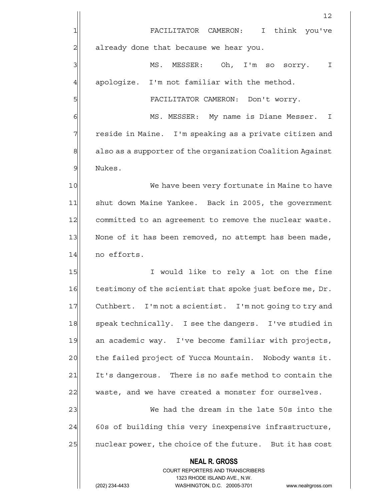|                | 12                                                                  |
|----------------|---------------------------------------------------------------------|
| 1              | FACILITATOR CAMERON:<br>$\mathbf{I}$<br>think you've                |
| $\overline{c}$ | already done that because we hear you.                              |
| 3              | MS. MESSER: Oh, I'm so sorry.<br>I                                  |
| 4              | apologize. I'm not familiar with the method.                        |
| 5              | FACILITATOR CAMERON: Don't worry.                                   |
| 6              | MS. MESSER: My name is Diane Messer. I                              |
| 7              | reside in Maine. I'm speaking as a private citizen and              |
| 8              | also as a supporter of the organization Coalition Against           |
| $\mathcal{Q}$  | Nukes.                                                              |
| 10             | We have been very fortunate in Maine to have                        |
| 11             | shut down Maine Yankee. Back in 2005, the government                |
| 12             | committed to an agreement to remove the nuclear waste.              |
| 13             | None of it has been removed, no attempt has been made,              |
| 14             | no efforts.                                                         |
| 15             | I would like to rely a lot on the fine                              |
| 16             | testimony of the scientist that spoke just before me, Dr.           |
| 17             | Cuthbert. I'm not a scientist. I'm not going to try and             |
| 18             | speak technically. I see the dangers. I've studied in               |
| 19             | an academic way. I've become familiar with projects,                |
| 20             | the failed project of Yucca Mountain. Nobody wants it.              |
| 21             | It's dangerous. There is no safe method to contain the              |
| 22             | waste, and we have created a monster for ourselves.                 |
| 23             | We had the dream in the late 50s into the                           |
| 24             | 60s of building this very inexpensive infrastructure,               |
| 25             | nuclear power, the choice of the future. But it has cost            |
|                | <b>NEAL R. GROSS</b>                                                |
|                | COURT REPORTERS AND TRANSCRIBERS<br>1323 RHODE ISLAND AVE., N.W.    |
|                | (202) 234-4433<br>WASHINGTON, D.C. 20005-3701<br>www.nealrgross.com |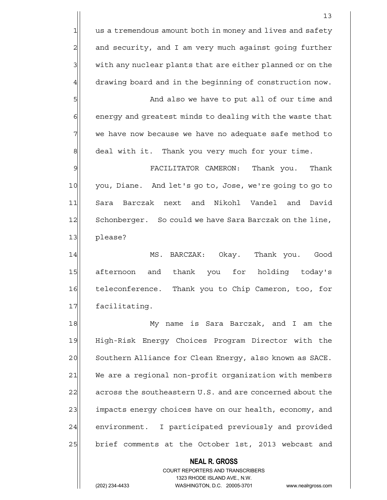$1$  us a tremendous amount both in money and lives and safety 2 and security, and I am very much against going further 3 with any nuclear plants that are either planned or on the 4 drawing board and in the beginning of construction now. 5|| Sand also we have to put all of our time and

13

 $6$  energy and greatest minds to dealing with the waste that  $7$  we have now because we have no adequate safe method to 8 deal with it. Thank you very much for your time.

9 FACILITATOR CAMERON: Thank you. Thank 10 you, Diane. And let's go to, Jose, we're going to go to 11 Sara Barczak next and Nikohl Vandel and David 12 Schonberger. So could we have Sara Barczak on the line, 13 please?

14 MS. BARCZAK: Okay. Thank you. Good 15 afternoon and thank you for holding today's 16 teleconference. Thank you to Chip Cameron, too, for 17 facilitating.

18 My name is Sara Barczak, and I am the 19 High-Risk Energy Choices Program Director with the 20 Southern Alliance for Clean Energy, also known as SACE. 21 We are a regional non-profit organization with members 22 across the southeastern U.S. and are concerned about the 23 impacts energy choices have on our health, economy, and 24 environment. I participated previously and provided 25 brief comments at the October 1st, 2013 webcast and

> COURT REPORTERS AND TRANSCRIBERS 1323 RHODE ISLAND AVE., N.W. (202) 234-4433 WASHINGTON, D.C. 20005-3701 www.nealrgross.com

 **NEAL R. GROSS**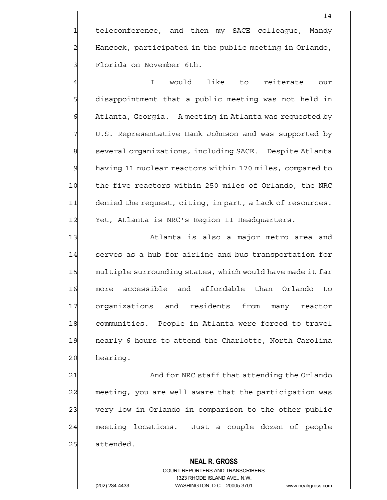1 teleconference, and then my SACE colleague, Mandy 2 | Hancock, participated in the public meeting in Orlando, 3 | Florida on November 6th.

4 I would like to reiterate our 5 | disappointment that a public meeting was not held in 6 Atlanta, Georgia. A meeting in Atlanta was requested by 7 U.S. Representative Hank Johnson and was supported by 8 several organizations, including SACE. Despite Atlanta 9 having 11 nuclear reactors within 170 miles, compared to 10 the five reactors within 250 miles of Orlando, the NRC 11 denied the request, citing, in part, a lack of resources. 12 Yet, Atlanta is NRC's Region II Headquarters.

13 | Atlanta is also a major metro area and 14 serves as a hub for airline and bus transportation for 15 multiple surrounding states, which would have made it far 16 more accessible and affordable than Orlando to 17 organizations and residents from many reactor 18 communities. People in Atlanta were forced to travel 19 nearly 6 hours to attend the Charlotte, North Carolina 20 hearing.

21 and for NRC staff that attending the Orlando 22 meeting, you are well aware that the participation was 23 very low in Orlando in comparison to the other public 24 meeting locations. Just a couple dozen of people 25 attended.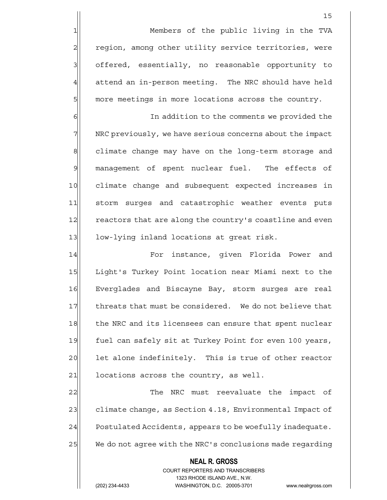1 1 Members of the public living in the TVA 2 region, among other utility service territories, were 3 3 offered, essentially, no reasonable opportunity to  $4$  attend an in-person meeting. The NRC should have held 5 more meetings in more locations across the country.

15

6 6 In addition to the comments we provided the 7 NRC previously, we have serious concerns about the impact 8 8 climate change may have on the long-term storage and 9 management of spent nuclear fuel. The effects of 10 climate change and subsequent expected increases in 11 storm surges and catastrophic weather events puts 12 reactors that are along the country's coastline and even 13 low-lying inland locations at great risk.

14 For instance, given Florida Power and 15 Light's Turkey Point location near Miami next to the 16 Everglades and Biscayne Bay, storm surges are real 17 threats that must be considered. We do not believe that 18 the NRC and its licensees can ensure that spent nuclear 19 fuel can safely sit at Turkey Point for even 100 years, 20 let alone indefinitely. This is true of other reactor  $21$  locations across the country, as well.

22 The NRC must reevaluate the impact of 23 climate change, as Section 4.18, Environmental Impact of 24 Postulated Accidents, appears to be woefully inadequate. 25 We do not agree with the NRC's conclusions made regarding

#### **NEAL R. GROSS** COURT REPORTERS AND TRANSCRIBERS 1323 RHODE ISLAND AVE., N.W.

(202) 234-4433 WASHINGTON, D.C. 20005-3701 www.nealrgross.com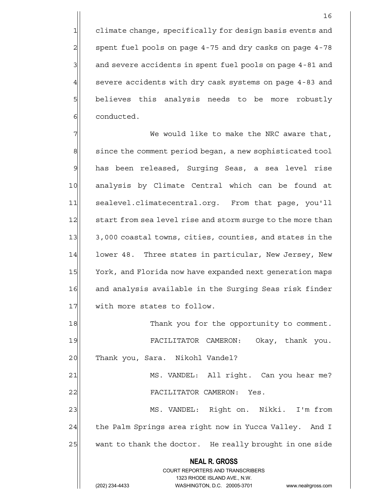1 climate change, specifically for design basis events and 2 spent fuel pools on page 4-75 and dry casks on page 4-78 3 and severe accidents in spent fuel pools on page 4-81 and 4 severe accidents with dry cask systems on page 4-83 and 5 believes this analysis needs to be more robustly 6 6 6 conducted.

 $7$  We would like to make the NRC aware that, 8 since the comment period began, a new sophisticated tool 9 has been released, Surging Seas, a sea level rise 10 analysis by Climate Central which can be found at 11 sealevel.climatecentral.org. From that page, you'll 12 start from sea level rise and storm surge to the more than 13 3,000 coastal towns, cities, counties, and states in the 14 lower 48. Three states in particular, New Jersey, New 15 York, and Florida now have expanded next generation maps 16 and analysis available in the Surging Seas risk finder 17 with more states to follow.

18 Thank you for the opportunity to comment. 19 FACILITATOR CAMERON: Okay, thank you. 20 Thank you, Sara. Nikohl Vandel?

21 MS. VANDEL: All right. Can you hear me? 22 | FACILITATOR CAMERON: Yes.

23 MS. VANDEL: Right on. Nikki. I'm from 24 the Palm Springs area right now in Yucca Valley. And I 25 want to thank the doctor. He really brought in one side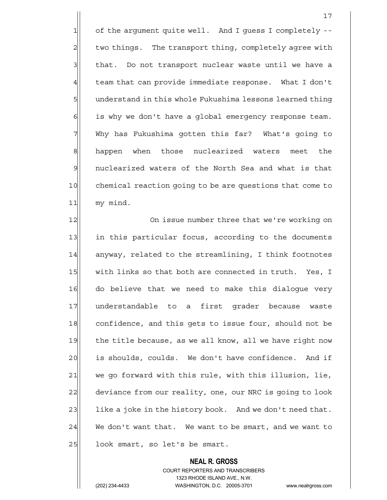1 of the argument quite well. And I guess I completely --2 two things. The transport thing, completely agree with 3 | that. Do not transport nuclear waste until we have a  $4$  team that can provide immediate response. What I don't 5 5 5 bnderstand in this whole Fukushima lessons learned thing  $6$  is why we don't have a global emergency response team. 7 Why has Fukushima gotten this far? What's going to 8 happen when those nuclearized waters meet the 9 | nuclearized waters of the North Sea and what is that 10 chemical reaction going to be are questions that come to 11 my mind.

12 On issue number three that we're working on 13 in this particular focus, according to the documents 14 anyway, related to the streamlining, I think footnotes 15 with links so that both are connected in truth. Yes, I 16 do believe that we need to make this dialoque very 17 understandable to a first grader because waste 18 confidence, and this gets to issue four, should not be 19 the title because, as we all know, all we have right now 20 is shoulds, coulds. We don't have confidence. And if  $21$  we go forward with this rule, with this illusion, lie, 22 deviance from our reality, one, our NRC is going to look 23 like a joke in the history book. And we don't need that.  $24$  We don't want that. We want to be smart, and we want to  $25$  look smart, so let's be smart.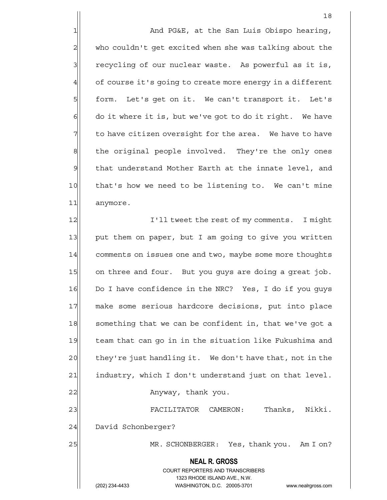1 And PG&E, at the San Luis Obispo hearing, 2 who couldn't get excited when she was talking about the 3 recycling of our nuclear waste. As powerful as it is,  $4$  of course it's going to create more energy in a different 5 form. Let's get on it. We can't transport it. Let's  $6$  do it where it is, but we've got to do it right. We have  $7$  to have citizen oversight for the area. We have to have 8 8 the original people involved. They're the only ones 9 | that understand Mother Earth at the innate level, and 10 that's how we need to be listening to. We can't mine 11 anymore.

 **NEAL R. GROSS** COURT REPORTERS AND TRANSCRIBERS 12 I'll tweet the rest of my comments. I might 13 put them on paper, but I am going to give you written 14 comments on issues one and two, maybe some more thoughts 15 on three and four. But you guys are doing a great job. 16 Do I have confidence in the NRC? Yes, I do if you guys 17 make some serious hardcore decisions, put into place 18 something that we can be confident in, that we've got a 19 team that can go in in the situation like Fukushima and  $20$  they're just handling it. We don't have that, not in the 21 industry, which I don't understand just on that level. 22 | Xanyway, thank you. 23 FACILITATOR CAMERON: Thanks, Nikki. 24 David Schonberger? 25 MR. SCHONBERGER: Yes, thank you. Am I on?

> 1323 RHODE ISLAND AVE., N.W. (202) 234-4433 WASHINGTON, D.C. 20005-3701 www.nealrgross.com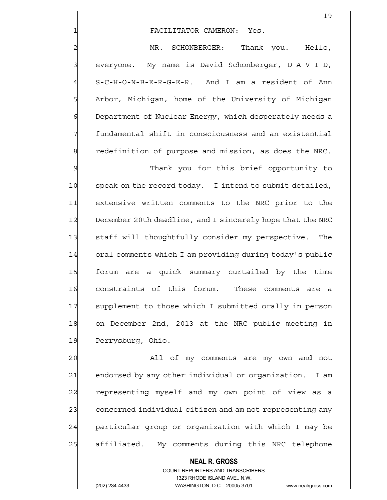1 FACILITATOR CAMERON: Yes.

2 MR. SCHONBERGER: Thank you. Hello,  $3$  everyone. My name is David Schonberger, D-A-V-I-D, 4 S-C-H-O-N-B-E-R-G-E-R. And I am a resident of Ann 5 Arbor, Michigan, home of the University of Michigan 6 Department of Nuclear Energy, which desperately needs a 7 Fundamental shift in consciousness and an existential 8 redefinition of purpose and mission, as does the NRC.

9 Thank you for this brief opportunity to 10 speak on the record today. I intend to submit detailed, 11 extensive written comments to the NRC prior to the 12 December 20th deadline, and I sincerely hope that the NRC 13 Staff will thoughtfully consider my perspective. The 14 oral comments which I am providing during today's public 15 forum are a quick summary curtailed by the time 16 constraints of this forum. These comments are a 17 Supplement to those which I submitted orally in person 18 on December 2nd, 2013 at the NRC public meeting in 19 Perrysburg, Ohio.

20 all of my comments are my own and not 21 endorsed by any other individual or organization. I am 22 representing myself and my own point of view as a 23 concerned individual citizen and am not representing any 24 particular group or organization with which I may be 25 affiliated. My comments during this NRC telephone

 **NEAL R. GROSS**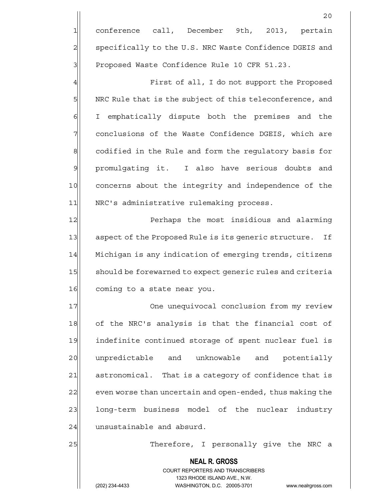1 conference call, December 9th, 2013, pertain 2| specifically to the U.S. NRC Waste Confidence DGEIS and 3 Proposed Waste Confidence Rule 10 CFR 51.23.

4 First of all, I do not support the Proposed 5 NRC Rule that is the subject of this teleconference, and 6 I emphatically dispute both the premises and the 7 | conclusions of the Waste Confidence DGEIS, which are 8 codified in the Rule and form the regulatory basis for 9 promulgating it. I also have serious doubts and 10 concerns about the integrity and independence of the 11 NRC's administrative rulemaking process.

12 Perhaps the most insidious and alarming 13 aspect of the Proposed Rule is its generic structure. If 14 Michigan is any indication of emerging trends, citizens 15 should be forewarned to expect generic rules and criteria 16 coming to a state near you.

17 One unequivocal conclusion from my review 18 of the NRC's analysis is that the financial cost of 19 indefinite continued storage of spent nuclear fuel is 20 | unpredictable and unknowable and potentially 21 astronomical. That is a category of confidence that is 22 even worse than uncertain and open-ended, thus making the 23 | long-term business model of the nuclear industry  $24$  unsustainable and absurd.

25 | Therefore, I personally give the NRC a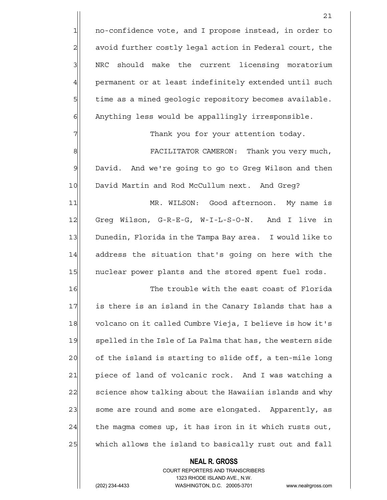1 1 no-confidence vote, and I propose instead, in order to 2 avoid further costly legal action in Federal court, the 3 | NRC should make the current licensing moratorium 4 permanent or at least indefinitely extended until such 5 time as a mined geologic repository becomes available.  $6$  Anything less would be appallingly irresponsible.

7 Thank you for your attention today.

8 | Sepang Tamber of Tangler RACILITATOR CAMERON: Thank you very much, 9 David. And we're going to go to Greg Wilson and then 10 David Martin and Rod McCullum next. And Greq?

11 MR. WILSON: Good afternoon. My name is 12 Greg Wilson, G-R-E-G, W-I-L-S-O-N. And I live in 13 Dunedin, Florida in the Tampa Bay area. I would like to 14 address the situation that's going on here with the 15 | nuclear power plants and the stored spent fuel rods.

16 The trouble with the east coast of Florida 17 is there is an island in the Canary Islands that has a 18 volcano on it called Cumbre Vieja, I believe is how it's 19 spelled in the Isle of La Palma that has, the western side 20 of the island is starting to slide off, a ten-mile long 21 piece of land of volcanic rock. And I was watching a 22 science show talking about the Hawaiian islands and why 23 some are round and some are elongated. Apparently, as  $24$  the magma comes up, it has iron in it which rusts out, 25 which allows the island to basically rust out and fall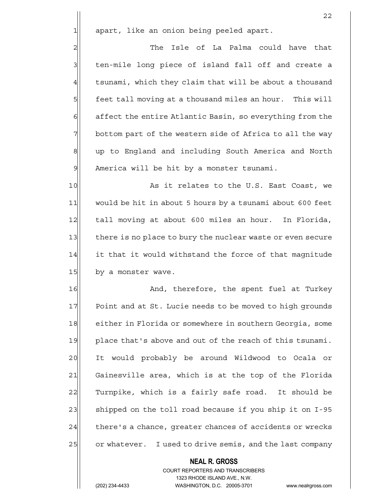1 apart, like an onion being peeled apart.

2 and the Isle of La Palma could have that 3 | ten-mile long piece of island fall off and create a  $4$  tsunami, which they claim that will be about a thousand 5 feet tall moving at a thousand miles an hour. This will  $6$  affect the entire Atlantic Basin, so everything from the  $7$  bottom part of the western side of Africa to all the way 8 up to England and including South America and North 9 America will be hit by a monster tsunami.

10 As it relates to the U.S. East Coast, we 11 would be hit in about 5 hours by a tsunami about 600 feet 12 tall moving at about 600 miles an hour. In Florida, 13 there is no place to bury the nuclear waste or even secure 14 it that it would withstand the force of that magnitude 15 by a monster wave.

16 and, therefore, the spent fuel at Turkey 17 Point and at St. Lucie needs to be moved to high grounds 18 either in Florida or somewhere in southern Georgia, some 19 place that's above and out of the reach of this tsunami. 20 It would probably be around Wildwood to Ocala or 21 Gainesville area, which is at the top of the Florida 22 Turnpike, which is a fairly safe road. It should be 23 shipped on the toll road because if you ship it on I-95 24 there's a chance, greater chances of accidents or wrecks 25 or whatever. I used to drive semis, and the last company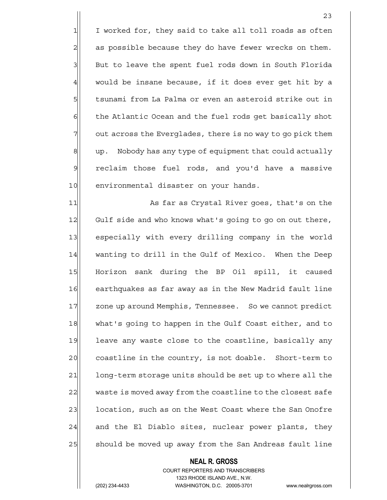$1$  I worked for, they said to take all toll roads as often  $2$  as possible because they do have fewer wrecks on them. 3 But to leave the spent fuel rods down in South Florida  $4$  would be insane because, if it does ever get hit by a 5 tsunami from La Palma or even an asteroid strike out in 6 6 6 the Atlantic Ocean and the fuel rods get basically shot  $7$  out across the Everglades, there is no way to go pick them 8 up. Nobody has any type of equipment that could actually 9 reclaim those fuel rods, and you'd have a massive 10 environmental disaster on your hands.

11 as far as Crystal River goes, that's on the 12 Gulf side and who knows what's going to go on out there, 13 especially with every drilling company in the world 14 wanting to drill in the Gulf of Mexico. When the Deep 15 Horizon sank during the BP Oil spill, it caused 16 earthquakes as far away as in the New Madrid fault line 17 zone up around Memphis, Tennessee. So we cannot predict 18 what's going to happen in the Gulf Coast either, and to 19 leave any waste close to the coastline, basically any 20 coastline in the country, is not doable. Short-term to 21| long-term storage units should be set up to where all the 22 waste is moved away from the coastline to the closest safe 23 | location, such as on the West Coast where the San Onofre  $24$  and the El Diablo sites, nuclear power plants, they 25 Should be moved up away from the San Andreas fault line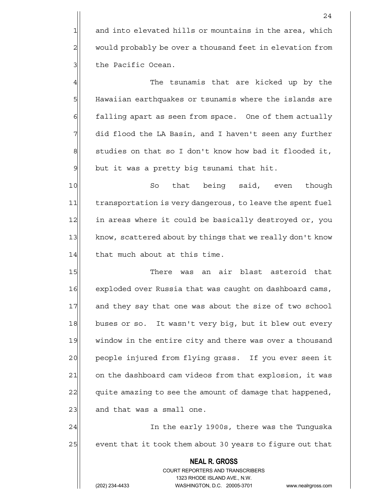$1$  and into elevated hills or mountains in the area, which 2 would probably be over a thousand feet in elevation from 3 | the Pacific Ocean.

4 and the tsunamis that are kicked up by the 5 | Hawaiian earthquakes or tsunamis where the islands are 6 6 falling apart as seen from space. One of them actually  $7$  did flood the LA Basin, and I haven't seen any further  $8$  studies on that so I don't know how bad it flooded it,  $9$  but it was a pretty big tsunami that hit.

10 So that being said, even though 11 transportation is very dangerous, to leave the spent fuel 12 in areas where it could be basically destroyed or, you 13 know, scattered about by things that we really don't know 14 that much about at this time.

15 There was an air blast asteroid that 16 exploded over Russia that was caught on dashboard cams, 17 and they say that one was about the size of two school 18 buses or so. It wasn't very big, but it blew out every 19 window in the entire city and there was over a thousand 20 people injured from flying grass. If you ever seen it 21 on the dashboard cam videos from that explosion, it was 22 quite amazing to see the amount of damage that happened,  $23$  and that was a small one.

24 24 In the early 1900s, there was the Tunguska 25 event that it took them about 30 years to figure out that

> **NEAL R. GROSS** COURT REPORTERS AND TRANSCRIBERS

 1323 RHODE ISLAND AVE., N.W. (202) 234-4433 WASHINGTON, D.C. 20005-3701 www.nealrgross.com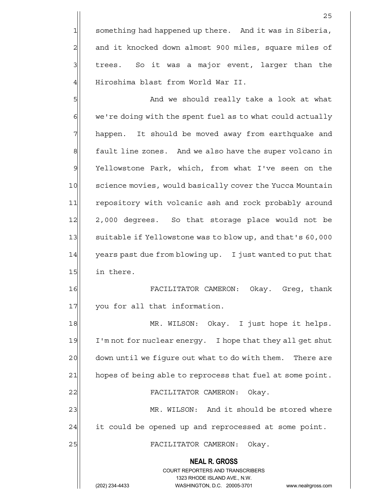1 something had happened up there. And it was in Siberia, 2| and it knocked down almost 900 miles, square miles of  $3$  trees. So it was a major event, larger than the 4 Hiroshima blast from World War II.

5 5 5 5 And we should really take a look at what  $6$  we're doing with the spent fuel as to what could actually 7 happen. It should be moved away from earthquake and 8 | fault line zones. And we also have the super volcano in 9 Yellowstone Park, which, from what I've seen on the 10 science movies, would basically cover the Yucca Mountain 11 repository with volcanic ash and rock probably around 12 2,000 degrees. So that storage place would not be 13 suitable if Yellowstone was to blow up, and that's 60,000 14 years past due from blowing up. I just wanted to put that 15 in there.

16 FACILITATOR CAMERON: Okay. Greg, thank 17 you for all that information.

 **NEAL R. GROSS** COURT REPORTERS AND TRANSCRIBERS 18 MR. WILSON: Okay. I just hope it helps. 19 I'm not for nuclear energy. I hope that they all get shut 20 down until we figure out what to do with them. There are 21 hopes of being able to reprocess that fuel at some point. 22 FACILITATOR CAMERON: Okay. 23 MR. WILSON: And it should be stored where  $24$  it could be opened up and reprocessed at some point. 25 | FACILITATOR CAMERON: Okay.

1323 RHODE ISLAND AVE., N.W.

(202) 234-4433 WASHINGTON, D.C. 20005-3701 www.nealrgross.com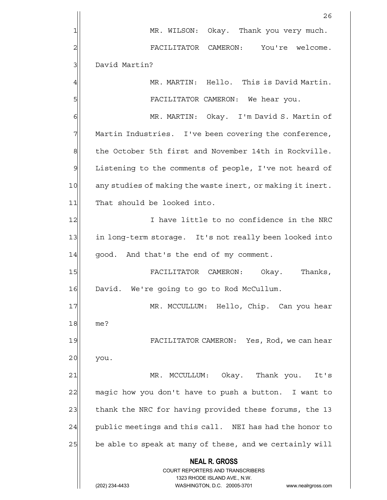|    | 26                                                                      |
|----|-------------------------------------------------------------------------|
| 1  | MR. WILSON: Okay. Thank you very much.                                  |
| 2  | FACILITATOR CAMERON: You're welcome.                                    |
| 3  | David Martin?                                                           |
| 4  | MR. MARTIN: Hello. This is David Martin.                                |
| 5  | FACILITATOR CAMERON: We hear you.                                       |
| 6  | MR. MARTIN: Okay. I'm David S. Martin of                                |
| 7  | Martin Industries. I've been covering the conference,                   |
| 8  | the October 5th first and November 14th in Rockville.                   |
| 9  | Listening to the comments of people, I've not heard of                  |
| 10 | any studies of making the waste inert, or making it inert.              |
| 11 | That should be looked into.                                             |
| 12 | I have little to no confidence in the NRC                               |
| 13 | in long-term storage. It's not really been looked into                  |
| 14 | good. And that's the end of my comment.                                 |
| 15 | FACILITATOR CAMERON:<br>Thanks,<br>Okay.                                |
| 16 | We're going to go to Rod McCullum.<br>David.                            |
| 17 | MR. MCCULLUM: Hello, Chip. Can you hear                                 |
| 18 | me?                                                                     |
| 19 | FACILITATOR CAMERON: Yes, Rod, we can hear                              |
| 20 | you.                                                                    |
| 21 | MCCULLUM: Okay. Thank you.<br>MR.<br>It's                               |
| 22 | magic how you don't have to push a button. I want to                    |
| 23 | thank the NRC for having provided these forums, the 13                  |
| 24 | public meetings and this call. NEI has had the honor to                 |
| 25 | be able to speak at many of these, and we certainly will                |
|    | <b>NEAL R. GROSS</b>                                                    |
|    | <b>COURT REPORTERS AND TRANSCRIBERS</b><br>1323 RHODE ISLAND AVE., N.W. |
|    | (202) 234-4433<br>WASHINGTON, D.C. 20005-3701<br>www.nealrgross.com     |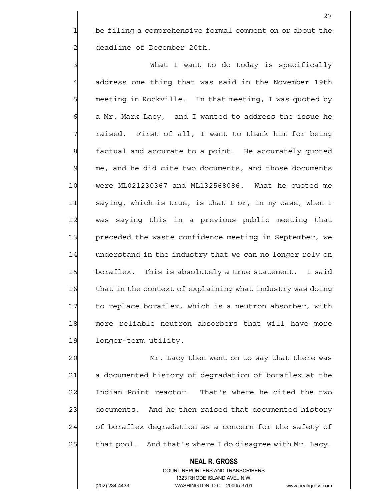1 be filing a comprehensive formal comment on or about the 2 deadline of December 20th.

3 | What I want to do today is specifically 4| address one thing that was said in the November 19th 5 meeting in Rockville. In that meeting, I was quoted by  $6$  a Mr. Mark Lacy, and I wanted to address the issue he  $7$  raised. First of all, I want to thank him for being 8 factual and accurate to a point. He accurately quoted 9 me, and he did cite two documents, and those documents 10 were ML021230367 and ML132568086. What he quoted me 11 saying, which is true, is that I or, in my case, when I 12 was saying this in a previous public meeting that 13 preceded the waste confidence meeting in September, we 14 understand in the industry that we can no longer rely on 15 boraflex. This is absolutely a true statement. I said 16 that in the context of explaining what industry was doing 17 to replace boraflex, which is a neutron absorber, with 18 more reliable neutron absorbers that will have more 19 longer-term utility.

20 Mr. Lacy then went on to say that there was 21 a documented history of degradation of boraflex at the 22 Indian Point reactor. That's where he cited the two 23 documents. And he then raised that documented history  $24$  of boraflex degradation as a concern for the safety of  $25$  that pool. And that's where I do disagree with Mr. Lacy.

> COURT REPORTERS AND TRANSCRIBERS 1323 RHODE ISLAND AVE., N.W.

 **NEAL R. GROSS**

(202) 234-4433 WASHINGTON, D.C. 20005-3701 www.nealrgross.com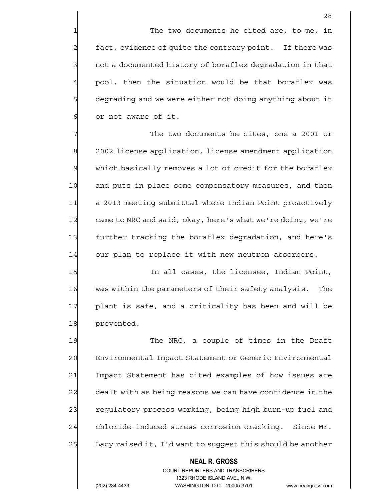1| The two documents he cited are, to me, in  $2$  fact, evidence of quite the contrary point. If there was 3 3 1 all not a documented history of boraflex degradation in that  $4$  pool, then the situation would be that boraflex was 5 6 5 beding and we were either not doing anything about it 6 6 or not aware of it.

 $7$  The two documents he cites, one a 2001 or 8 2002 license application, license amendment application 9 which basically removes a lot of credit for the boraflex 10 and puts in place some compensatory measures, and then 11 a 2013 meeting submittal where Indian Point proactively 12 came to NRC and said, okay, here's what we're doing, we're 13 further tracking the boraflex degradation, and here's 14 our plan to replace it with new neutron absorbers.

15 In all cases, the licensee, Indian Point, 16 was within the parameters of their safety analysis. The 17 plant is safe, and a criticality has been and will be 18 prevented.

19 The NRC, a couple of times in the Draft 20 Environmental Impact Statement or Generic Environmental 21 Impact Statement has cited examples of how issues are 22 dealt with as being reasons we can have confidence in the 23 regulatory process working, being high burn-up fuel and 24 chloride-induced stress corrosion cracking. Since Mr. 25 Lacy raised it, I'd want to suggest this should be another

# **NEAL R. GROSS**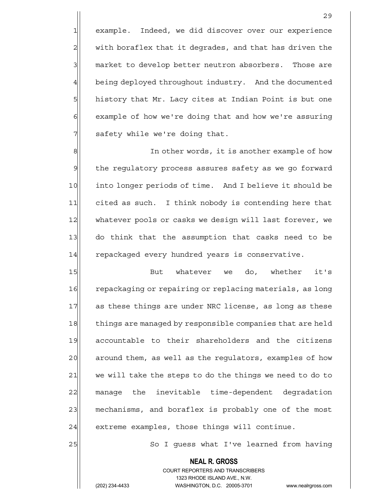1 example. Indeed, we did discover over our experience  $2$  with boraflex that it degrades, and that has driven the 3 market to develop better neutron absorbers. Those are 4 being deployed throughout industry. And the documented 5 history that Mr. Lacy cites at Indian Point is but one 6 6 6 example of how we're doing that and how we're assuring  $7$  safety while we're doing that.

8 8 8 In other words, it is another example of how 9 the regulatory process assures safety as we go forward 10 into longer periods of time. And I believe it should be 11 cited as such. I think nobody is contending here that 12 whatever pools or casks we design will last forever, we 13 do think that the assumption that casks need to be 14 repackaged every hundred years is conservative.

15 But whatever we do, whether it's 16 repackaging or repairing or replacing materials, as long 17 as these things are under NRC license, as long as these 18 things are managed by responsible companies that are held 19 accountable to their shareholders and the citizens 20 around them, as well as the regulators, examples of how  $21$  we will take the steps to do the things we need to do to 22 manage the inevitable time-dependent degradation 23 mechanisms, and boraflex is probably one of the most 24 extreme examples, those things will continue.

25 | So I guess what I've learned from having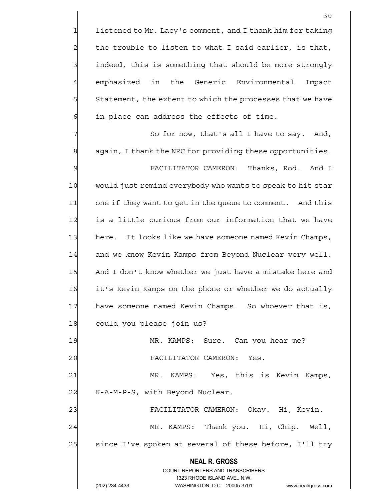$1$  listened to Mr. Lacy's comment, and I thank him for taking  $2$  the trouble to listen to what I said earlier, is that, 3 indeed, this is something that should be more strongly 4 emphasized in the Generic Environmental Impact 5 Statement, the extent to which the processes that we have  $6$  in place can address the effects of time.

 $7$  So for now, that's all I have to say. And,  $8$  aqain, I thank the NRC for providing these opportunities. 9 FACILITATOR CAMERON: Thanks, Rod. And I 10 would just remind everybody who wants to speak to hit star 11 one if they want to get in the queue to comment. And this 12 is a little curious from our information that we have 13 here. It looks like we have someone named Kevin Champs, 14 and we know Kevin Kamps from Beyond Nuclear very well. 15 And I don't know whether we just have a mistake here and 16 it's Kevin Kamps on the phone or whether we do actually 17| have someone named Kevin Champs. So whoever that is, 18 could you please join us? 19 MR. KAMPS: Sure. Can you hear me?

20 | FACILITATOR CAMERON: Yes.

21 MR. KAMPS: Yes, this is Kevin Kamps, 22 | K-A-M-P-S, with Beyond Nuclear.

23 FACILITATOR CAMERON: Okay. Hi, Kevin. 24 MR. KAMPS: Thank you. Hi, Chip. Well,  $25$  since I've spoken at several of these before, I'll try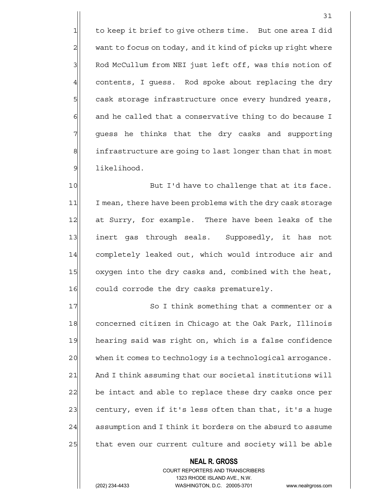1 to keep it brief to give others time. But one area I did 2 want to focus on today, and it kind of picks up right where 3 | Rod McCullum from NEI just left off, was this notion of 4 contents, I quess. Rod spoke about replacing the dry 5 s cask storage infrastructure once every hundred years,  $6$  and he called that a conservative thing to do because I 7 guess he thinks that the dry casks and supporting 8 infrastructure are going to last longer than that in most 9 likelihood.

10 But I'd have to challenge that at its face. 11 I mean, there have been problems with the dry cask storage 12 at Surry, for example. There have been leaks of the 13 inert gas through seals. Supposedly, it has not 14 completely leaked out, which would introduce air and 15 oxygen into the dry casks and, combined with the heat, 16 could corrode the dry casks prematurely.

17 So I think something that a commenter or a 18 concerned citizen in Chicago at the Oak Park, Illinois 19 hearing said was right on, which is a false confidence 20 when it comes to technology is a technological arrogance. 21 And I think assuming that our societal institutions will 22 be intact and able to replace these dry casks once per 23 century, even if it's less often than that, it's a huge 24 assumption and I think it borders on the absurd to assume 25 that even our current culture and society will be able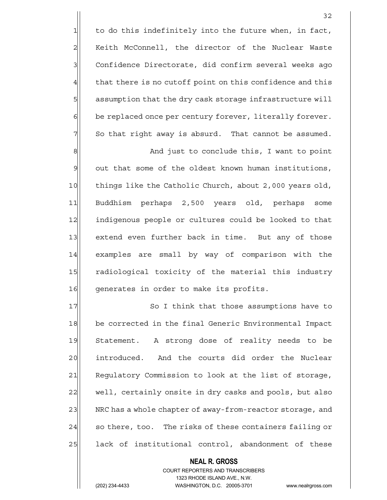$1$  to do this indefinitely into the future when, in fact, 2 Keith McConnell, the director of the Nuclear Waste 3 | Confidence Directorate, did confirm several weeks ago  $4$  that there is no cutoff point on this confidence and this 5 assumption that the dry cask storage infrastructure will  $6$  be replaced once per century forever, literally forever.

8 8 And just to conclude this, I want to point  $9$  out that some of the oldest known human institutions, 10 things like the Catholic Church, about 2,000 years old, 11 Buddhism perhaps 2,500 years old, perhaps some 12 indigenous people or cultures could be looked to that 13 extend even further back in time. But any of those 14 examples are small by way of comparison with the 15 radiological toxicity of the material this industry 16 generates in order to make its profits.

 $7$  So that right away is absurd. That cannot be assumed.

17| So I think that those assumptions have to 18 be corrected in the final Generic Environmental Impact 19 Statement. A strong dose of reality needs to be 20 | introduced. And the courts did order the Nuclear 21 Regulatory Commission to look at the list of storage, 22 well, certainly onsite in dry casks and pools, but also 23 NRC has a whole chapter of away-from-reactor storage, and 24 so there, too. The risks of these containers failing or 25 lack of institutional control, abandonment of these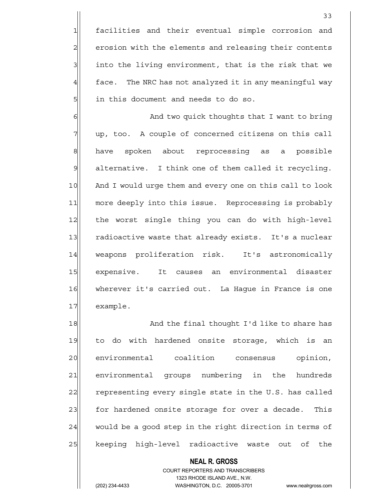1 facilities and their eventual simple corrosion and 2 erosion with the elements and releasing their contents  $3$  into the living environment, that is the risk that we  $4$  face. The NRC has not analyzed it in any meaningful way 5 | in this document and needs to do so.

6 6 And two quick thoughts that I want to bring 7 | up, too. A couple of concerned citizens on this call 8 have spoken about reprocessing as a possible  $9$  alternative. I think one of them called it recycling. 10 And I would urge them and every one on this call to look 11 more deeply into this issue. Reprocessing is probably 12 the worst single thing you can do with high-level 13 radioactive waste that already exists. It's a nuclear 14 weapons proliferation risk. It's astronomically 15 expensive. It causes an environmental disaster 16 wherever it's carried out. La Hague in France is one 17 example.

18 and the final thought I'd like to share has 19 to do with hardened onsite storage, which is an 20 environmental coalition consensus opinion, 21 environmental groups numbering in the hundreds 22 representing every single state in the U.S. has called 23 for hardened onsite storage for over a decade. This  $24$  would be a good step in the right direction in terms of 25 keeping high-level radioactive waste out of the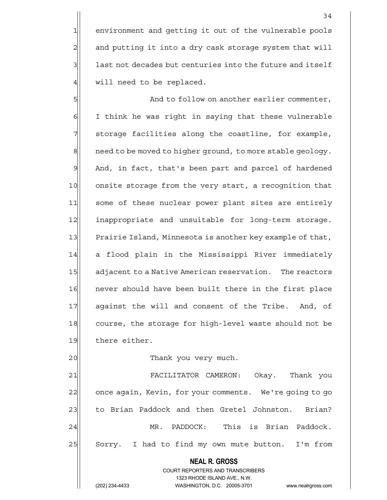1 environment and getting it out of the vulnerable pools 2 and putting it into a dry cask storage system that will  $3$  last not decades but centuries into the future and itself  $4$  will need to be replaced.

5  $\vert$  5 And to follow on another earlier commenter, 6 | I think he was right in saying that these vulnerable  $7$  storage facilities along the coastline, for example,  $8$  need to be moved to higher ground, to more stable geology. 9 And, in fact, that's been part and parcel of hardened 10 onsite storage from the very start, a recognition that 11 some of these nuclear power plant sites are entirely 12 inappropriate and unsuitable for long-term storage. 13 Prairie Island, Minnesota is another key example of that, 14 a flood plain in the Mississippi River immediately 15 adjacent to a Native American reservation. The reactors 16 never should have been built there in the first place 17 against the will and consent of the Tribe. And, of 18 course, the storage for high-level waste should not be 19 there either.

#### 20 | Thank you very much.

21 FACILITATOR CAMERON: Okay. Thank you 22 once again, Kevin, for your comments. We're going to go 23 to Brian Paddock and then Gretel Johnston. Brian? 24 MR. PADDOCK: This is Brian Paddock. 25 Sorry. I had to find my own mute button. I'm from

> COURT REPORTERS AND TRANSCRIBERS 1323 RHODE ISLAND AVE., N.W.

 **NEAL R. GROSS**

(202) 234-4433 WASHINGTON, D.C. 20005-3701 www.nealrgross.com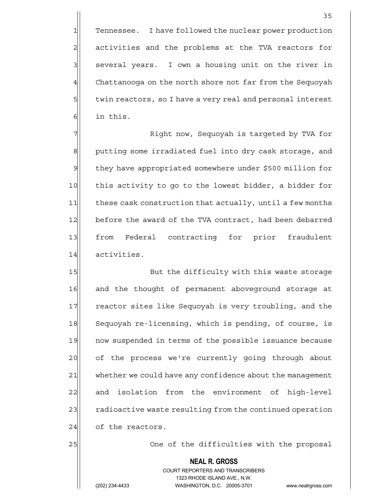1 Tennessee. I have followed the nuclear power production 2 activities and the problems at the TVA reactors for  $3$  several years. I own a housing unit on the river in 4 Chattanooga on the north shore not far from the Sequoyah 5 5 twin reactors, so I have a very real and personal interest 61 in this.

7 Right now, Sequoyah is targeted by TVA for 8 putting some irradiated fuel into dry cask storage, and 9 | they have appropriated somewhere under \$500 million for 10 this activity to go to the lowest bidder, a bidder for 11 these cask construction that actually, until a few months 12 before the award of the TVA contract, had been debarred 13 | from Federal contracting for prior fraudulent 14 activities.

15 But the difficulty with this waste storage 16 and the thought of permanent aboveground storage at 17 reactor sites like Sequoyah is very troubling, and the 18 Sequoyah re-licensing, which is pending, of course, is 19 now suspended in terms of the possible issuance because 20 of the process we're currently going through about 21 whether we could have any confidence about the management 22 and isolation from the environment of high-level 23 radioactive waste resulting from the continued operation 24 of the reactors.

25 One of the difficulties with the proposal

#### **NEAL R. GROSS**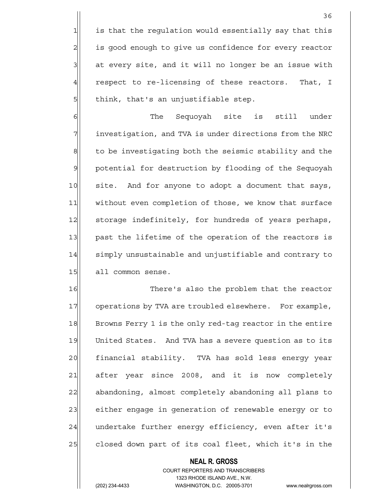$1$  is that the regulation would essentially say that this 2 is good enough to give us confidence for every reactor  $3$  at every site, and it will no longer be an issue with 4 respect to re-licensing of these reactors. That, I  $5$  think, that's an unjustifiable step.

6 | Gillen The Sequoyah site is still under 7 investigation, and TVA is under directions from the NRC 8 to be investigating both the seismic stability and the 9 potential for destruction by flooding of the Sequoyah 10 site. And for anyone to adopt a document that says, 11 without even completion of those, we know that surface 12 storage indefinitely, for hundreds of years perhaps, 13 past the lifetime of the operation of the reactors is 14 simply unsustainable and unjustifiable and contrary to 15 all common sense.

16 There's also the problem that the reactor 17 operations by TVA are troubled elsewhere. For example, 18 Browns Ferry 1 is the only red-tag reactor in the entire 19 United States. And TVA has a severe question as to its 20 financial stability. TVA has sold less energy year 21 after year since 2008, and it is now completely 22 abandoning, almost completely abandoning all plans to 23 either engage in generation of renewable energy or to 24 undertake further energy efficiency, even after it's 25 closed down part of its coal fleet, which it's in the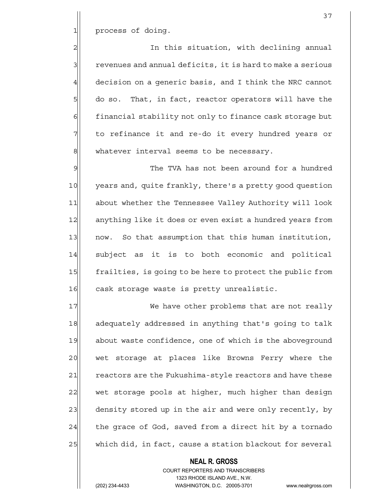1 process of doing.

2 | 2| 3 revenues and annual deficits, it is hard to make a serious 4 decision on a generic basis, and I think the NRC cannot 5 6 5 do so. That, in fact, reactor operators will have the 6 financial stability not only to finance cask storage but  $7$  to refinance it and re-do it every hundred years or  $8$  whatever interval seems to be necessary.

9 9 The TVA has not been around for a hundred 10 years and, quite frankly, there's a pretty good question 11 about whether the Tennessee Valley Authority will look 12 anything like it does or even exist a hundred years from 13 now. So that assumption that this human institution, 14 subject as it is to both economic and political 15 frailties, is going to be here to protect the public from 16 cask storage waste is pretty unrealistic.

17 We have other problems that are not really 18 adequately addressed in anything that's going to talk 19 about waste confidence, one of which is the aboveground 20 wet storage at places like Browns Ferry where the 21 reactors are the Fukushima-style reactors and have these 22 wet storage pools at higher, much higher than design 23 density stored up in the air and were only recently, by  $24$  the grace of God, saved from a direct hit by a tornado  $25$  which did, in fact, cause a station blackout for several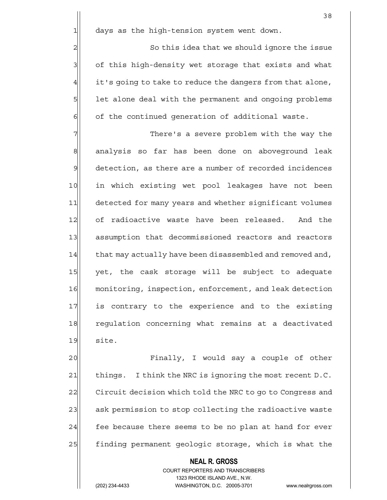$1$  days as the high-tension system went down.

2 2 So this idea that we should ignore the issue 3 3 of this high-density wet storage that exists and what  $4$  it's going to take to reduce the dangers from that alone, 5 | let alone deal with the permanent and ongoing problems  $6$  of the continued generation of additional waste.

7 There's a severe problem with the way the 8| analysis so far has been done on aboveground leak 9 detection, as there are a number of recorded incidences 10 in which existing wet pool leakages have not been 11 detected for many years and whether significant volumes 12 of radioactive waste have been released. And the 13 assumption that decommissioned reactors and reactors 14 that may actually have been disassembled and removed and, 15 yet, the cask storage will be subject to adequate 16 monitoring, inspection, enforcement, and leak detection 17 is contrary to the experience and to the existing 18 regulation concerning what remains at a deactivated 19 site.

20 Finally, I would say a couple of other 21 things. I think the NRC is ignoring the most recent  $D.C.$ 22 Circuit decision which told the NRC to go to Congress and 23 ask permission to stop collecting the radioactive waste  $24$  fee because there seems to be no plan at hand for ever 25 finding permanent geologic storage, which is what the

> **NEAL R. GROSS** COURT REPORTERS AND TRANSCRIBERS

> > 1323 RHODE ISLAND AVE., N.W.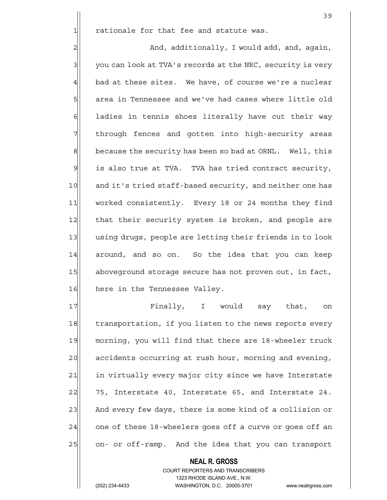$1$  rationale for that fee and statute was.

2 and, additionally, I would add, and, again,  $3$  you can look at TVA's records at the NRC, security is very  $4$  bad at these sites. We have, of course we're a nuclear 5 area in Tennessee and we've had cases where little old 6 6 ladies in tennis shoes literally have cut their way 7 The through fences and gotten into high-security areas  $8$  because the security has been so bad at ORNL. Well, this  $9$  is also true at TVA. TVA has tried contract security, 10 and it's tried staff-based security, and neither one has 11 worked consistently. Every 18 or 24 months they find 12 that their security system is broken, and people are 13 using drugs, people are letting their friends in to look 14 around, and so on. So the idea that you can keep 15 aboveground storage secure has not proven out, in fact, 16 here in the Tennessee Valley.

17 Finally, I would say that, on 18 transportation, if you listen to the news reports every 19 morning, you will find that there are 18-wheeler truck 20 accidents occurring at rush hour, morning and evening, 21 in virtually every major city since we have Interstate  $22 \vert$  75, Interstate 40, Interstate 65, and Interstate 24. 23 And every few days, there is some kind of a collision or  $24$  one of these 18-wheelers goes off a curve or goes off an 25 on- or off-ramp. And the idea that you can transport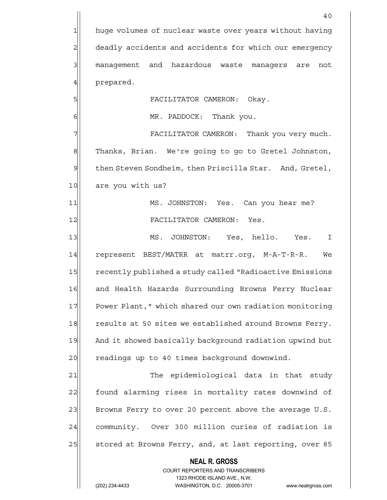**NEAL R. GROSS** COURT REPORTERS AND TRANSCRIBERS 40 1 huge volumes of nuclear waste over years without having 2 deadly accidents and accidents for which our emergency 3 3 management and hazardous waste managers are not 4 prepared. 5 FACILITATOR CAMERON: Okay. 6 | MR. PADDOCK: Thank you. 7 FACILITATOR CAMERON: Thank you very much. 8 Thanks, Brian. We're going to go to Gretel Johnston, 9 | then Steven Sondheim, then Priscilla Star. And, Gretel, 10 are you with us? 11 MS. JOHNSTON: Yes. Can you hear me? 12 FACILITATOR CAMERON: Yes. 13 MS. JOHNSTON: Yes, hello. Yes. I 14 represent BEST/MATRR at matrr.org, M-A-T-R-R. We 15 recently published a study called "Radioactive Emissions 16 and Health Hazards Surrounding Browns Ferry Nuclear 17 Power Plant," which shared our own radiation monitoring 18 results at 50 sites we established around Browns Ferry. 19 And it showed basically background radiation upwind but 20 readings up to 40 times background downwind. 21 The epidemiological data in that study 22 found alarming rises in mortality rates downwind of 23 Browns Ferry to over 20 percent above the average U.S. 24 community. Over 300 million curies of radiation is 25 Stored at Browns Ferry, and, at last reporting, over 85

1323 RHODE ISLAND AVE., N.W.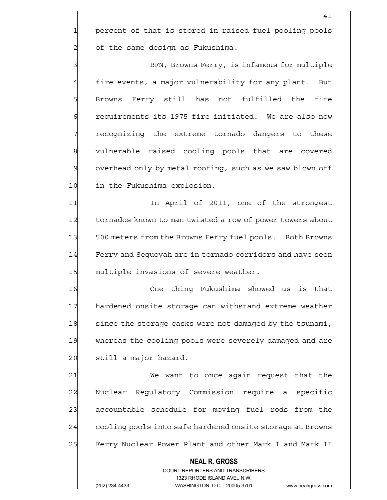1 percent of that is stored in raised fuel pooling pools  $2$  of the same design as Fukushima.

3 BFN, Browns Ferry, is infamous for multiple 4 fire events, a major vulnerability for any plant. But 5 Browns Ferry still has not fulfilled the fire 6 6 6 6 requirements its 1975 fire initiated. We are also now 7 Tecognizing the extreme tornado dangers to these 8 vulnerable raised cooling pools that are covered 9 overhead only by metal roofing, such as we saw blown off 10 in the Fukushima explosion.

11 11 In April of 2011, one of the strongest 12 tornados known to man twisted a row of power towers about 13 500 meters from the Browns Ferry fuel pools. Both Browns 14 Ferry and Sequoyah are in tornado corridors and have seen 15 multiple invasions of severe weather.

16 One thing Fukushima showed us is that 17 hardened onsite storage can withstand extreme weather 18 since the storage casks were not damaged by the tsunami, 19 whereas the cooling pools were severely damaged and are 20 still a major hazard.

21 We want to once again request that the 22 Nuclear Regulatory Commission require a specific 23 accountable schedule for moving fuel rods from the 24 cooling pools into safe hardened onsite storage at Browns 25 Ferry Nuclear Power Plant and other Mark I and Mark II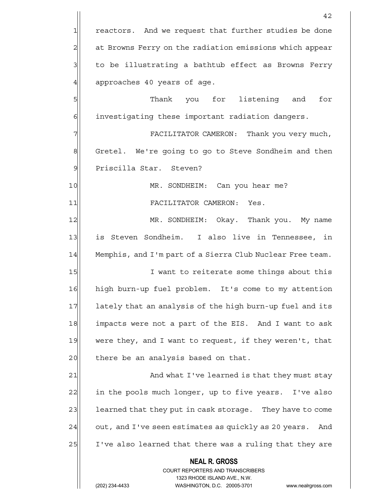**NEAL R. GROSS** COURT REPORTERS AND TRANSCRIBERS 1323 RHODE ISLAND AVE., N.W. 42 1 reactors. And we request that further studies be done 2 at Browns Ferry on the radiation emissions which appear 3 to be illustrating a bathtub effect as Browns Ferry 4 approaches 40 years of age. 5 SM Thank you for listening and for 6 6 investigating these important radiation dangers. 7 FACILITATOR CAMERON: Thank you very much, 8 Gretel. We're going to go to Steve Sondheim and then 9 Priscilla Star. Steven? 10 MR. SONDHEIM: Can you hear me? 11 FACILITATOR CAMERON: Yes. 12 MR. SONDHEIM: Okay. Thank you. My name 13 is Steven Sondheim. I also live in Tennessee, in 14 Memphis, and I'm part of a Sierra Club Nuclear Free team. 15 I want to reiterate some things about this 16 high burn-up fuel problem. It's come to my attention 17 lately that an analysis of the high burn-up fuel and its 18 impacts were not a part of the EIS. And I want to ask 19 were they, and I want to request, if they weren't, that  $20$  there be an analysis based on that. 21 and what I've learned is that they must stay 22 in the pools much longer, up to five years. I've also 23 learned that they put in cask storage. They have to come  $24$  out, and I've seen estimates as quickly as 20 years. And 25 I've also learned that there was a ruling that they are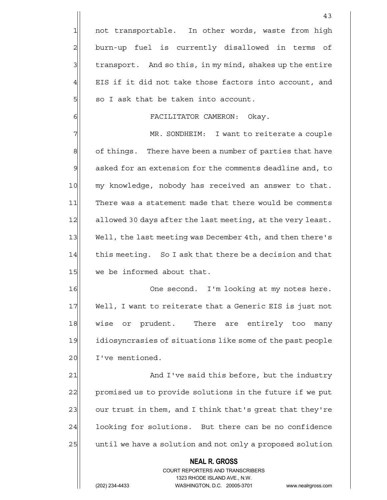1 not transportable. In other words, waste from high 2 burn-up fuel is currently disallowed in terms of  $3$  transport. And so this, in my mind, shakes up the entire  $4$  EIS if it did not take those factors into account, and  $5$  so I ask that be taken into account.

#### 6 FACILITATOR CAMERON: Okay.

7 MR. SONDHEIM: I want to reiterate a couple  $\left| \cdot \right|$  of things. There have been a number of parties that have  $9$  asked for an extension for the comments deadline and, to 10 my knowledge, nobody has received an answer to that. 11 There was a statement made that there would be comments 12 allowed 30 days after the last meeting, at the very least. 13 Well, the last meeting was December 4th, and then there's 14 this meeting. So I ask that there be a decision and that 15 we be informed about that.

16 One second. I'm looking at my notes here. 17 Well, I want to reiterate that a Generic EIS is just not 18 wise or prudent. There are entirely too many 19 idiosyncrasies of situations like some of the past people 20 I've mentioned.

21 And I've said this before, but the industry 22 promised us to provide solutions in the future if we put  $23$  our trust in them, and I think that's great that they're 24 looking for solutions. But there can be no confidence  $25$  until we have a solution and not only a proposed solution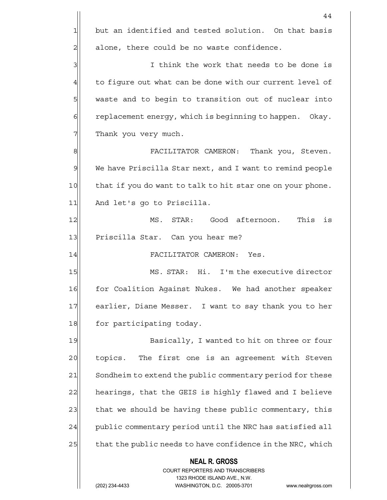|              | 44                                                                                              |
|--------------|-------------------------------------------------------------------------------------------------|
| $\mathbf{1}$ | but an identified and tested solution. On that basis                                            |
| 2            | alone, there could be no waste confidence.                                                      |
| 3            | I think the work that needs to be done is                                                       |
| 4            | to figure out what can be done with our current level of                                        |
| 5            | waste and to begin to transition out of nuclear into                                            |
| 6            | replacement energy, which is beginning to happen. Okay.                                         |
| 7            | Thank you very much.                                                                            |
| 8            | FACILITATOR CAMERON: Thank you, Steven.                                                         |
| 9            | We have Priscilla Star next, and I want to remind people                                        |
| 10           | that if you do want to talk to hit star one on your phone.                                      |
| 11           | And let's go to Priscilla.                                                                      |
| 12           | This<br>MS. STAR: Good afternoon.<br>is                                                         |
| 13           | Priscilla Star. Can you hear me?                                                                |
| 14           | FACILITATOR CAMERON: Yes.                                                                       |
| 15           | MS. STAR: Hi. I'm the executive director                                                        |
| 16           | for Coalition Against Nukes. We had another speaker                                             |
| 17           | earlier, Diane Messer. I want to say thank you to her                                           |
| 18           | for participating today.                                                                        |
| 19           | Basically, I wanted to hit on three or four                                                     |
| 20           | topics.<br>The first one is an agreement with Steven                                            |
| 21           | Sondheim to extend the public commentary period for these                                       |
| 22           | hearings, that the GEIS is highly flawed and I believe                                          |
| 23           | that we should be having these public commentary, this                                          |
| 24           | public commentary period until the NRC has satisfied all                                        |
| 25           | that the public needs to have confidence in the NRC, which                                      |
|              | <b>NEAL R. GROSS</b><br><b>COURT REPORTERS AND TRANSCRIBERS</b><br>1323 RHODE ISLAND AVE., N.W. |
|              | (202) 234-4433<br>WASHINGTON, D.C. 20005-3701<br>www.nealrgross.com                             |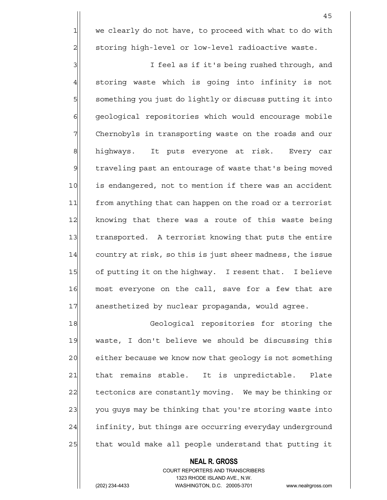$1$  we clearly do not have, to proceed with what to do with  $2$  storing high-level or low-level radioactive waste.

3 3 I feel as if it's being rushed through, and 4 storing waste which is going into infinity is not 5 something you just do lightly or discuss putting it into 6| geological repositories which would encourage mobile 7 Chernobyls in transporting waste on the roads and our 8 | highways. It puts everyone at risk. Every car 9 traveling past an entourage of waste that's being moved 10 is endangered, not to mention if there was an accident 11 from anything that can happen on the road or a terrorist 12 knowing that there was a route of this waste being 13 transported. A terrorist knowing that puts the entire 14 country at risk, so this is just sheer madness, the issue 15 of putting it on the highway. I resent that. I believe 16 most everyone on the call, save for a few that are 17 anesthetized by nuclear propaganda, would agree.

18 Geological repositories for storing the 19 waste, I don't believe we should be discussing this 20 either because we know now that geology is not something 21 | that remains stable. It is unpredictable. Plate 22 tectonics are constantly moving. We may be thinking or 23 you guys may be thinking that you're storing waste into 24 infinity, but things are occurring everyday underground 25 that would make all people understand that putting it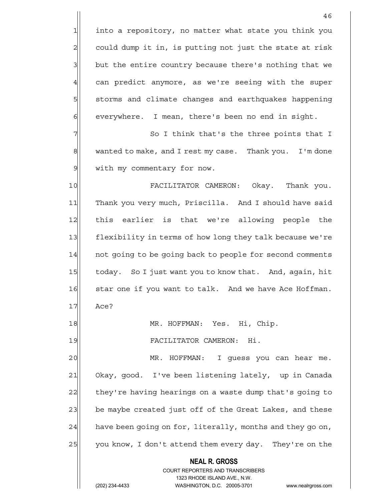1 into a repository, no matter what state you think you  $2$  could dump it in, is putting not just the state at risk 3 but the entire country because there's nothing that we 4 can predict anymore, as we're seeing with the super 5 | storms and climate changes and earthquakes happening  $6$  everywhere. I mean, there's been no end in sight.

46

 $7$   $\vert$  So I think that's the three points that I 8| wanted to make, and I rest my case. Thank you. I'm done 9 with my commentary for now.

10 FACILITATOR CAMERON: Okay. Thank you. 11 Thank you very much, Priscilla. And I should have said 12 this earlier is that we're allowing people the 13 flexibility in terms of how long they talk because we're 14 not going to be going back to people for second comments 15 today. So I just want you to know that. And, again, hit 16 star one if you want to talk. And we have Ace Hoffman. 17 Ace?

18 MR. HOFFMAN: Yes. Hi, Chip.

19 FACILITATOR CAMERON: Hi.

20 MR. HOFFMAN: I guess you can hear me. 21 Okay, good. I've been listening lately, up in Canada 22 they're having hearings on a waste dump that's going to 23 be maybe created just off of the Great Lakes, and these  $24$  have been going on for, literally, months and they go on, 25 you know, I don't attend them every day. They're on the

> **NEAL R. GROSS** COURT REPORTERS AND TRANSCRIBERS 1323 RHODE ISLAND AVE., N.W.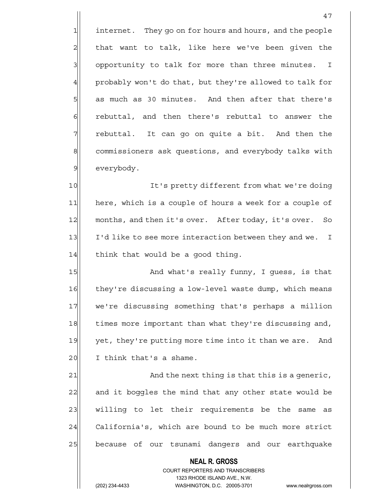$1$  internet. They go on for hours and hours, and the people  $2$  that want to talk, like here we've been given the 3 3 opportunity to talk for more than three minutes. I  $4$  probably won't do that, but they're allowed to talk for  $5$  as much as 30 minutes. And then after that there's 6 6 6 rebuttal, and then there's rebuttal to answer the  $7$  rebuttal. It can go on quite a bit. And then the 8 commissioners ask questions, and everybody talks with 9 everybody.

47

10 It's pretty different from what we're doing 11 here, which is a couple of hours a week for a couple of 12 months, and then it's over. After today, it's over. So 13 I'd like to see more interaction between they and we. I  $14$  think that would be a good thing.

15 And what's really funny, I guess, is that 16 they're discussing a low-level waste dump, which means 17 we're discussing something that's perhaps a million 18 times more important than what they're discussing and, 19 yet, they're putting more time into it than we are. And  $20$  I think that's a shame.

21 and the next thing is that this is a generic, 22 and it boggles the mind that any other state would be 23 | willing to let their requirements be the same as 24 California's, which are bound to be much more strict 25 because of our tsunami dangers and our earthquake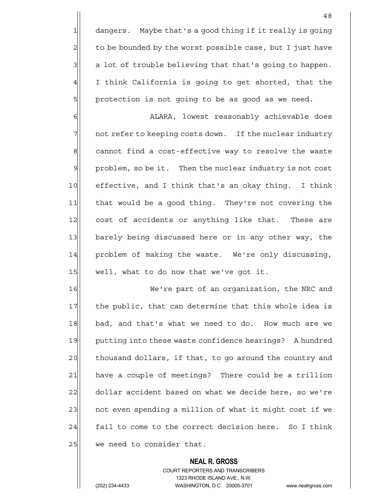1 dangers. Maybe that's a good thing if it really is going  $2$  to be bounded by the worst possible case, but I just have  $3$  a lot of trouble believing that that's going to happen.  $4$  I think California is going to get shorted, that the 5 | protection is not going to be as good as we need.

6 ALARA, lowest reasonably achievable does 7 not refer to keeping costs down. If the nuclear industry 8 cannot find a cost-effective way to resolve the waste  $9$  problem, so be it. Then the nuclear industry is not cost 10 effective, and I think that's an okay thing. I think 11 that would be a good thing. They're not covering the 12 cost of accidents or anything like that. These are 13 barely being discussed here or in any other way, the 14 problem of making the waste. We're only discussing,  $15$  well, what to do now that we've got it.

16 We're part of an organization, the NRC and 17 the public, that can determine that this whole idea is 18 bad, and that's what we need to do. How much are we 19 putting into these waste confidence hearings? A hundred 20 thousand dollars, if that, to go around the country and 21 have a couple of meetings? There could be a trillion 22 dollar accident based on what we decide here, so we're 23 not even spending a million of what it might cost if we  $24$  fail to come to the correct decision here. So I think  $25$  we need to consider that.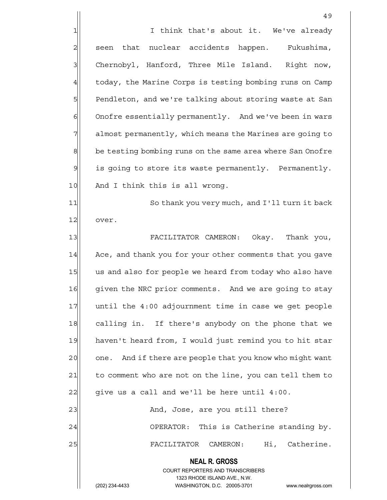|                | 49                                                                                                  |
|----------------|-----------------------------------------------------------------------------------------------------|
| 1              | I think that's about it. We've already                                                              |
| $\overline{c}$ | seen that nuclear accidents happen. Fukushima,                                                      |
| 3              | Chernobyl, Hanford, Three Mile Island. Right now,                                                   |
| $\overline{4}$ | today, the Marine Corps is testing bombing runs on Camp                                             |
| 5              | Pendleton, and we're talking about storing waste at San                                             |
| $\epsilon$     | Onofre essentially permanently. And we've been in wars                                              |
| 7              | almost permanently, which means the Marines are going to                                            |
| $\mathbf{8}$   | be testing bombing runs on the same area where San Onofre                                           |
| $\mathcal{Q}$  | is going to store its waste permanently. Permanently.                                               |
| 10             | And I think this is all wrong.                                                                      |
| 11             | So thank you very much, and I'll turn it back                                                       |
| 12             | over.                                                                                               |
| 13             | FACILITATOR CAMERON: Okay. Thank you,                                                               |
| 14             | Ace, and thank you for your other comments that you gave                                            |
| 15             | us and also for people we heard from today who also have                                            |
| 16             | given the NRC prior comments. And we are going to stay                                              |
| 17             | until the 4:00 adjournment time in case we get people                                               |
| 18             | calling in. If there's anybody on the phone that we                                                 |
| 19             | haven't heard from, I would just remind you to hit star                                             |
| 20             | one. And if there are people that you know who might want                                           |
| 21             | to comment who are not on the line, you can tell them to                                            |
| 22             | give us a call and we'll be here until 4:00.                                                        |
| 23             | And, Jose, are you still there?                                                                     |
| 24             | OPERATOR: This is Catherine standing by.                                                            |
| 25             | Hi, Catherine.<br>FACILITATOR<br>CAMERON:                                                           |
|                | <b>NEAL R. GROSS</b>                                                                                |
|                | <b>COURT REPORTERS AND TRANSCRIBERS</b>                                                             |
|                | 1323 RHODE ISLAND AVE., N.W.<br>(202) 234-4433<br>WASHINGTON, D.C. 20005-3701<br>www.nealrgross.com |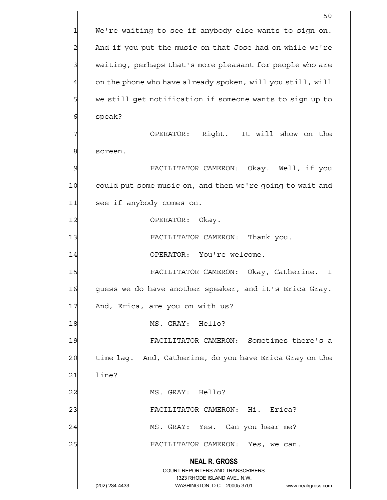**NEAL R. GROSS** COURT REPORTERS AND TRANSCRIBERS 1323 RHODE ISLAND AVE., N.W. (202) 234-4433 WASHINGTON, D.C. 20005-3701 www.nealrgross.com 50 1 We're waiting to see if anybody else wants to sign on.  $2$  And if you put the music on that Jose had on while we're 3 waiting, perhaps that's more pleasant for people who are  $4$  on the phone who have already spoken, will you still, will 5 we still get notification if someone wants to sign up to 6 speak? 7 | OPERATOR: Right. It will show on the 8 screen. 9 FACILITATOR CAMERON: Okay. Well, if you 10 could put some music on, and then we're going to wait and 11 see if anybody comes on. 12 OPERATOR: Okay. 13 || FACILITATOR CAMERON: Thank you. 14 OPERATOR: You're welcome. 15 FACILITATOR CAMERON: Okay, Catherine. I 16 guess we do have another speaker, and it's Erica Gray. 17 And, Erica, are you on with us? 18 MS. GRAY: Hello? 19 FACILITATOR CAMERON: Sometimes there's a 20 time lag. And, Catherine, do you have Erica Gray on the  $21$  line? 22 | MS. GRAY: Hello? 23 | FACILITATOR CAMERON: Hi. Erica? 24 MS. GRAY: Yes. Can you hear me? 25 | FACILITATOR CAMERON: Yes, we can.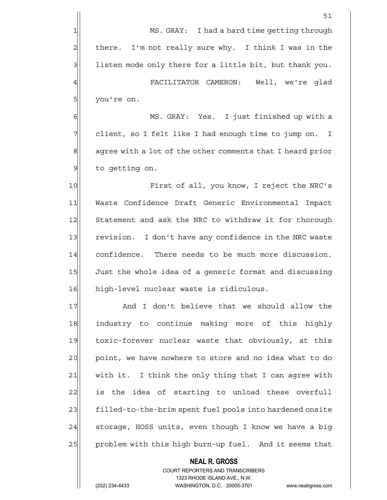$51$ 1 MS. GRAY: I had a hard time getting through  $2$  there. I'm not really sure why. I think I was in the 3 listen mode only there for a little bit, but thank you. 4 FACILITATOR CAMERON: Well, we're glad 5 you're on. 6 MS. GRAY: Yes. I just finished up with a 7 || client, so I felt like I had enough time to jump on. I 8 agree with a lot of the other comments that I heard prior 9 to getting on. 10 First of all, you know, I reject the NRC's 11 Waste Confidence Draft Generic Environmental Impact 12 Statement and ask the NRC to withdraw it for thorough 13 revision. I don't have any confidence in the NRC waste 14 confidence. There needs to be much more discussion. 15 Just the whole idea of a generic format and discussing 16 high-level nuclear waste is ridiculous. 17 And I don't believe that we should allow the 18 industry to continue making more of this highly 19 toxic-forever nuclear waste that obviously, at this 20 | point, we have nowhere to store and no idea what to do 21 with it. I think the only thing that I can agree with  $22$  is the idea of starting to unload these overfull

23 filled-to-the-brim spent fuel pools into hardened onsite 24 Storage, HOSS units, even though I know we have a big 25 problem with this high burn-up fuel. And it seems that

> COURT REPORTERS AND TRANSCRIBERS 1323 RHODE ISLAND AVE., N.W. (202) 234-4433 WASHINGTON, D.C. 20005-3701 www.nealrgross.com

 **NEAL R. GROSS**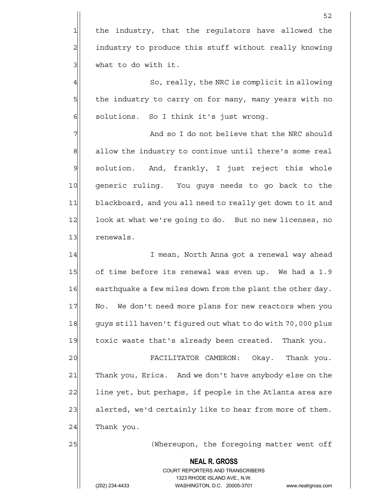1 the industry, that the regulators have allowed the 2 | industry to produce this stuff without really knowing  $3$  what to do with it.

4 So, really, the NRC is complicit in allowing 5 the industry to carry on for many, many years with no  $6$  solutions. So I think it's just wrong.

7 and so I do not believe that the NRC should 8 allow the industry to continue until there's some real 9 solution. And, frankly, I just reject this whole 10 generic ruling. You guys needs to go back to the 11 blackboard, and you all need to really get down to it and 12 look at what we're going to do. But no new licenses, no 13 renewals.

14 I mean, North Anna got a renewal way ahead 15 of time before its renewal was even up. We had a 1.9 16 earthquake a few miles down from the plant the other day. 17 No. We don't need more plans for new reactors when you 18 guys still haven't figured out what to do with 70,000 plus 19 toxic waste that's already been created. Thank you.

20 FACILITATOR CAMERON: Okay. Thank you. 21 Thank you, Erica. And we don't have anybody else on the 22 line yet, but perhaps, if people in the Atlanta area are 23 alerted, we'd certainly like to hear from more of them.  $24$  Thank you.

25 (Whereupon, the foregoing matter went off

 **NEAL R. GROSS** COURT REPORTERS AND TRANSCRIBERS 1323 RHODE ISLAND AVE., N.W.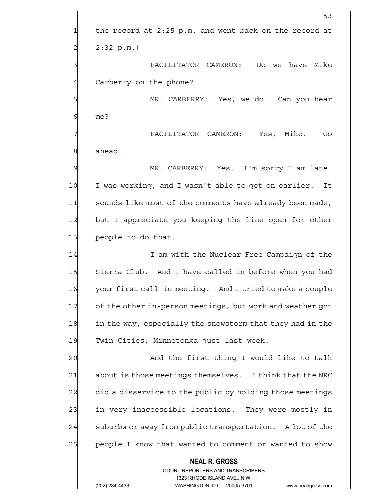**NEAL R. GROSS** COURT REPORTERS AND TRANSCRIBERS 1323 RHODE ISLAND AVE., N.W.  $\sim$  53 1 the record at 2:25 p.m. and went back on the record at  $2$ | 2:32 p.m.) 3 | SI FACILITATOR CAMERON: Do we have Mike 4 Carberry on the phone? 5 MR. CARBERRY: Yes, we do. Can you hear 6 me? 7 FACILITATOR CAMERON: Yes, Mike. Go 8 ahead. 9 MR. CARBERRY: Yes. I'm sorry I am late. 10 I was working, and I wasn't able to get on earlier. It 11 sounds like most of the comments have already been made, 12 but I appreciate you keeping the line open for other  $13$  people to do that. 14 I am with the Nuclear Free Campaign of the 15 Sierra Club. And I have called in before when you had 16 your first call-in meeting. And I tried to make a couple 17 of the other in-person meetings, but work and weather got 18 in the way, especially the snowstorm that they had in the 19 Twin Cities, Minnetonka just last week. 20 And the first thing I would like to talk 21 about is those meetings themselves. I think that the NRC 22 did a disservice to the public by holding those meetings 23 in very inaccessible locations. They were mostly in  $24$  suburbs or away from public transportation. A lot of the 25 people I know that wanted to comment or wanted to show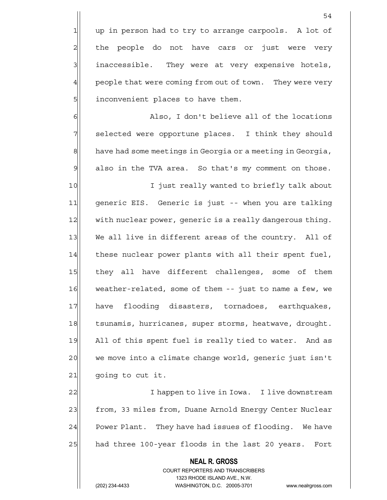1 up in person had to try to arrange carpools. A lot of 2 the people do not have cars or just were very 3 3 inaccessible. They were at very expensive hotels, 4 people that were coming from out of town. They were very 5 5 5 5 inconvenient places to have them.

6 6 Also, I don't believe all of the locations 7 Selected were opportune places. I think they should  $8$  have had some meetings in Georgia or a meeting in Georgia,  $9$  also in the TVA area. So that's my comment on those.

10 I just really wanted to briefly talk about 11 generic EIS. Generic is just -- when you are talking 12 with nuclear power, generic is a really dangerous thing. 13 We all live in different areas of the country. All of 14 these nuclear power plants with all their spent fuel, 15 they all have different challenges, some of them 16 weather-related, some of them -- just to name a few, we 17 have flooding disasters, tornadoes, earthquakes, 18 tsunamis, hurricanes, super storms, heatwave, drought. 19 All of this spent fuel is really tied to water. And as 20 we move into a climate change world, generic just isn't  $21$  going to cut it.

22 I happen to live in Iowa. I live downstream 23 from, 33 miles from, Duane Arnold Energy Center Nuclear 24 Power Plant. They have had issues of flooding. We have 25 had three 100-year floods in the last 20 years. Fort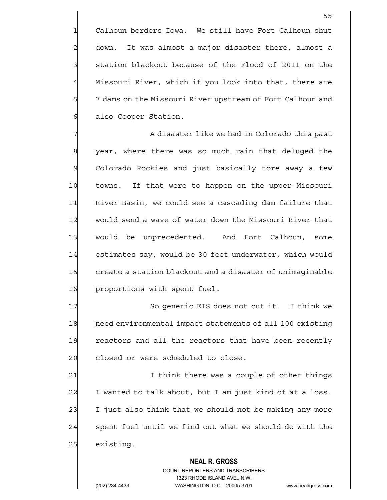1 Calhoun borders Iowa. We still have Fort Calhoun shut 2 down. It was almost a major disaster there, almost a 3 3 station blackout because of the Flood of 2011 on the 4 Missouri River, which if you look into that, there are 5| 7 dams on the Missouri River upstream of Fort Calhoun and 6 also Cooper Station.

7 A disaster like we had in Colorado this past  $\sigma$ 8 year, where there was so much rain that deluged the 9 Colorado Rockies and just basically tore away a few 10 towns. If that were to happen on the upper Missouri 11 River Basin, we could see a cascading dam failure that 12 would send a wave of water down the Missouri River that 13 would be unprecedented. And Fort Calhoun, some 14 estimates say, would be 30 feet underwater, which would 15 create a station blackout and a disaster of unimaginable 16 proportions with spent fuel.

17 So generic EIS does not cut it. I think we 18 need environmental impact statements of all 100 existing 19 reactors and all the reactors that have been recently 20 closed or were scheduled to close.

21 I think there was a couple of other things  $22$  I wanted to talk about, but I am just kind of at a loss. 23 I just also think that we should not be making any more  $24$  spent fuel until we find out what we should do with the 25 existing.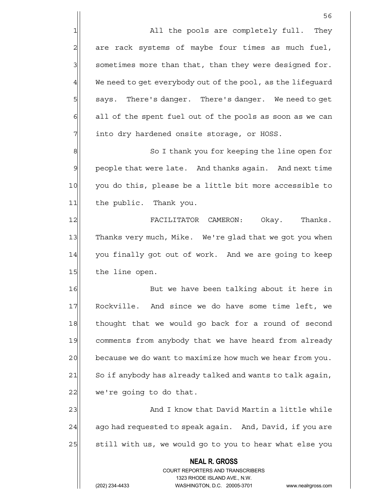1 all the pools are completely full. They are rack systems of maybe four times as much fuel, sometimes more than that, than they were designed for. We need to get everybody out of the pool, as the lifequard 5 says. There's danger. There's danger. We need to get all of the spent fuel out of the pools as soon as we can into dry hardened onsite storage, or HOSS.

8 8 So I thank you for keeping the line open for 9 | people that were late. And thanks again. And next time 10 you do this, please be a little bit more accessible to 11 the public. Thank you.

12 FACILITATOR CAMERON: Okay. Thanks. 13 Thanks very much, Mike. We're glad that we got you when 14 you finally got out of work. And we are going to keep 15 the line open.

16 But we have been talking about it here in 17 Rockville. And since we do have some time left, we 18 thought that we would go back for a round of second 19 comments from anybody that we have heard from already 20 because we do want to maximize how much we hear from you.  $21$  So if anybody has already talked and wants to talk again,  $22$  we're going to do that.

23 and I know that David Martin a little while 24 ago had requested to speak again. And, David, if you are 25 Still with us, we would go to you to hear what else you

> **NEAL R. GROSS** COURT REPORTERS AND TRANSCRIBERS 1323 RHODE ISLAND AVE., N.W.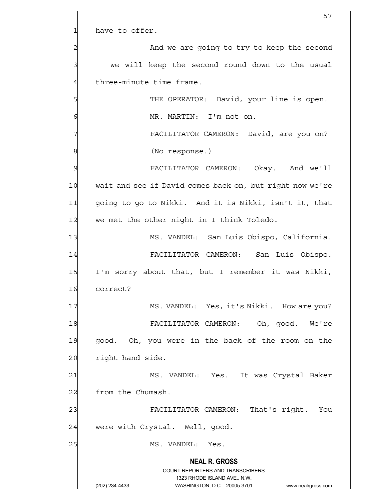|                | 57                                                                  |
|----------------|---------------------------------------------------------------------|
| 1              | have to offer.                                                      |
| $\overline{c}$ | And we are going to try to keep the second                          |
| 3              | -- we will keep the second round down to the usual                  |
| $\overline{4}$ | three-minute time frame.                                            |
| 5              | THE OPERATOR: David, your line is open.                             |
| 6              | MR. MARTIN: I'm not on.                                             |
| 7              | FACILITATOR CAMERON: David, are you on?                             |
| 8              | (No response.)                                                      |
| 9              | FACILITATOR CAMERON: Okay. And we'll                                |
| 10             | wait and see if David comes back on, but right now we're            |
| 11             | going to go to Nikki. And it is Nikki, isn't it, that               |
| 12             | we met the other night in I think Toledo.                           |
| 13             | MS. VANDEL: San Luis Obispo, California.                            |
| 14             | FACILITATOR CAMERON: San Luis Obispo.                               |
| 15             | I'm sorry about that, but I remember it was Nikki,                  |
| 16             | correct?                                                            |
| 17             | MS. VANDEL: Yes, it's Nikki. How are you?                           |
| 18             | FACILITATOR CAMERON: Oh, good. We're                                |
| 19             | good. Oh, you were in the back of the room on the                   |
| 20             | right-hand side.                                                    |
| 21             | MS. VANDEL: Yes. It was Crystal Baker                               |
| 22             | from the Chumash.                                                   |
| 23             | FACILITATOR CAMERON: That's right.<br>You                           |
| 24             | were with Crystal. Well, good.                                      |
| 25             | MS. VANDEL: Yes.                                                    |
|                | <b>NEAL R. GROSS</b><br><b>COURT REPORTERS AND TRANSCRIBERS</b>     |
|                | 1323 RHODE ISLAND AVE., N.W.                                        |
|                | (202) 234-4433<br>WASHINGTON, D.C. 20005-3701<br>www.nealrgross.com |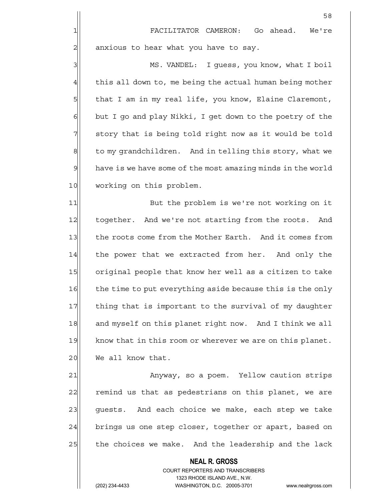58

3 MS. VANDEL: I guess, you know, what I boil  $4$  this all down to, me being the actual human being mother 5 that I am in my real life, you know, Elaine Claremont,  $6$  but I go and play Nikki, I get down to the poetry of the  $7$  story that is being told right now as it would be told 8 8 10 sto my grandchildren. And in telling this story, what we  $9$  have is we have some of the most amazing minds in the world 10 working on this problem.

11 But the problem is we're not working on it 12 together. And we're not starting from the roots. And 13 the roots come from the Mother Earth. And it comes from 14 the power that we extracted from her. And only the 15 original people that know her well as a citizen to take 16 the time to put everything aside because this is the only 17 thing that is important to the survival of my daughter 18 and myself on this planet right now. And I think we all 19 know that in this room or wherever we are on this planet. 20 We all know that.

21| Anyway, so a poem. Yellow caution strips 22 remind us that as pedestrians on this planet, we are 23 guests. And each choice we make, each step we take 24 brings us one step closer, together or apart, based on 25 the choices we make. And the leadership and the lack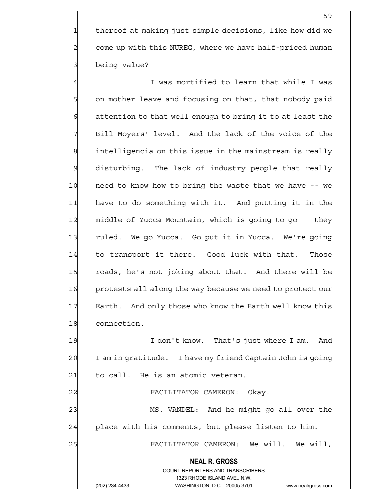1 thereof at making just simple decisions, like how did we 2 come up with this NUREG, where we have half-priced human 3 being value?

59

4 I was mortified to learn that while I was 5 5 5 5 on mother leave and focusing on that, that nobody paid  $6$  attention to that well enough to bring it to at least the 7 Bill Moyers' level. And the lack of the voice of the 8 intelligencia on this issue in the mainstream is really 9 disturbing. The lack of industry people that really 10 | need to know how to bring the waste that we have -- we 11 have to do something with it. And putting it in the 12 middle of Yucca Mountain, which is going to go -- they 13 ruled. We go Yucca. Go put it in Yucca. We're going 14 to transport it there. Good luck with that. Those 15 roads, he's not joking about that. And there will be 16 protests all along the way because we need to protect our 17 Earth. And only those who know the Earth well know this 18 connection.

19 I don't know. That's just where I am. And 20 I am in gratitude. I have my friend Captain John is going  $21$  to call. He is an atomic veteran.

22 FACILITATOR CAMERON: Okay. 23 MS. VANDEL: And he might go all over the

 $24$  place with his comments, but please listen to him.

25 FACILITATOR CAMERON: We will. We will,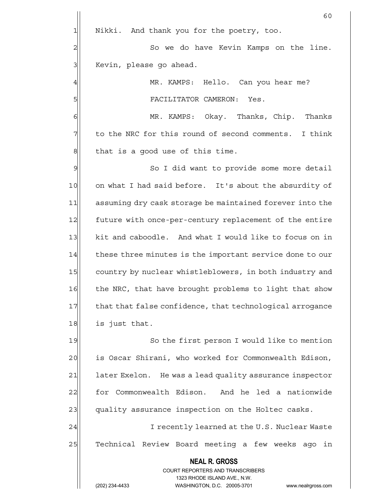|                | 60                                                                      |
|----------------|-------------------------------------------------------------------------|
| $\mathbf{1}$   | Nikki. And thank you for the poetry, too.                               |
| $\overline{c}$ | So we do have Kevin Kamps on the line.                                  |
| 3              | Kevin, please go ahead.                                                 |
| $\overline{4}$ | MR. KAMPS: Hello. Can you hear me?                                      |
| 5              | FACILITATOR CAMERON:<br>Yes.                                            |
| 6              | MR. KAMPS: Okay. Thanks, Chip. Thanks                                   |
| 7              | to the NRC for this round of second comments. I think                   |
| 8              | that is a good use of this time.                                        |
| $\mathfrak{S}$ | So I did want to provide some more detail                               |
| 10             | on what I had said before. It's about the absurdity of                  |
| 11             | assuming dry cask storage be maintained forever into the                |
| 12             | future with once-per-century replacement of the entire                  |
| 13             | kit and caboodle. And what I would like to focus on in                  |
| 14             | these three minutes is the important service done to our                |
| 15             | country by nuclear whistleblowers, in both industry and                 |
| 16             | the NRC, that have brought problems to light that show                  |
| 17             | that that false confidence, that technological arrogance                |
| 18             | is just that.                                                           |
| 19             | So the first person I would like to mention                             |
| 20             | is Oscar Shirani, who worked for Commonwealth Edison,                   |
| 21             | later Exelon. He was a lead quality assurance inspector                 |
| 22             | for Commonwealth Edison. And he led a nationwide                        |
| 23             | quality assurance inspection on the Holtec casks.                       |
| 24             | I recently learned at the U.S. Nuclear Waste                            |
| 25             | Technical Review Board meeting a few weeks ago in                       |
|                | <b>NEAL R. GROSS</b>                                                    |
|                | <b>COURT REPORTERS AND TRANSCRIBERS</b><br>1323 RHODE ISLAND AVE., N.W. |
|                | (202) 234-4433<br>WASHINGTON, D.C. 20005-3701<br>www.nealrgross.com     |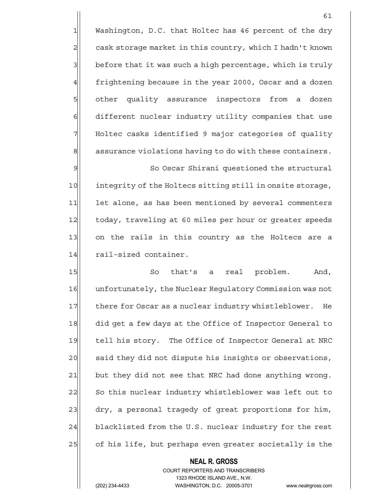1 Washington, D.C. that Holtec has 46 percent of the dry 2| cask storage market in this country, which I hadn't known  $3$  before that it was such a high percentage, which is truly 4 frightening because in the year 2000, Oscar and a dozen 5 5 5 other quality assurance inspectors from a dozen 6 6 6 different nuclear industry utility companies that use

9 | So Oscar Shirani questioned the structural 10 integrity of the Holtecs sitting still in onsite storage, 11 let alone, as has been mentioned by several commenters 12 today, traveling at 60 miles per hour or greater speeds 13 on the rails in this country as the Holtecs are a 14 rail-sized container.

7 Holtec casks identified 9 major categories of quality

 $8$  assurance violations having to do with these containers.

15 So that's a real problem. And, 16 unfortunately, the Nuclear Regulatory Commission was not 17 there for Oscar as a nuclear industry whistleblower. He 18 did get a few days at the Office of Inspector General to 19 tell his story. The Office of Inspector General at NRC 20 said they did not dispute his insights or observations, 21 but they did not see that NRC had done anything wrong. 22 So this nuclear industry whistleblower was left out to 23 dry, a personal tragedy of great proportions for him, 24 blacklisted from the U.S. nuclear industry for the rest 25 of his life, but perhaps even greater societally is the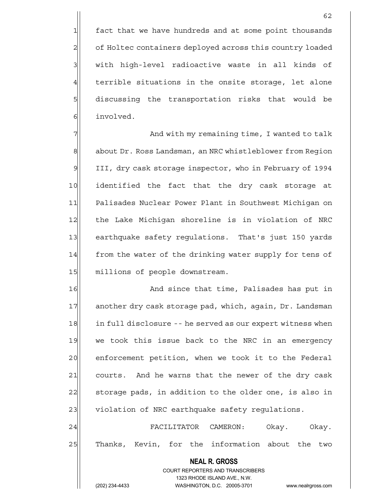1 fact that we have hundreds and at some point thousands 2 of Holtec containers deployed across this country loaded 3| with high-level radioactive waste in all kinds of  $4$  terrible situations in the onsite storage, let alone 5 5 5 5 discussing the transportation risks that would be 6 6 involved.

7 The same with my remaining time, I wanted to talk 8 about Dr. Ross Landsman, an NRC whistleblower from Region 9 III, dry cask storage inspector, who in February of 1994 10 identified the fact that the dry cask storage at 11 Palisades Nuclear Power Plant in Southwest Michigan on 12 the Lake Michigan shoreline is in violation of NRC 13 earthquake safety regulations. That's just 150 yards 14 from the water of the drinking water supply for tens of 15 millions of people downstream.

16 And since that time, Palisades has put in 17 another dry cask storage pad, which, again, Dr. Landsman 18 in full disclosure -- he served as our expert witness when 19 we took this issue back to the NRC in an emergency 20 enforcement petition, when we took it to the Federal 21 courts. And he warns that the newer of the dry cask 22| storage pads, in addition to the older one, is also in 23 violation of NRC earthquake safety regulations.

24 FACILITATOR CAMERON: Okay. Okay. 25 Thanks, Kevin, for the information about the two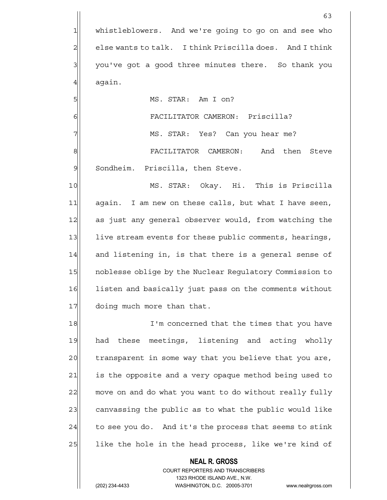1 whistleblowers. And we're going to go on and see who  $2$  else wants to talk. I think Priscilla does. And I think 3 you've got a good three minutes there. So thank you  $4$  again.

5| MS. STAR: Am I on?

6 FACILITATOR CAMERON: Priscilla? 7 MS. STAR: Yes? Can you hear me? 8 | SI FACILITATOR CAMERON: And then Steve 9 Sondheim. Priscilla, then Steve.

10 MS. STAR: Okay. Hi. This is Priscilla 11 again. I am new on these calls, but what I have seen, 12 as just any general observer would, from watching the 13 live stream events for these public comments, hearings, 14 and listening in, is that there is a general sense of 15 | noblesse oblige by the Nuclear Regulatory Commission to 16 listen and basically just pass on the comments without 17 doing much more than that.

18 I'm concerned that the times that you have 19 had these meetings, listening and acting wholly 20 transparent in some way that you believe that you are, 21 is the opposite and a very opaque method being used to 22 move on and do what you want to do without really fully 23 canvassing the public as to what the public would like  $24$  to see you do. And it's the process that seems to stink 25 like the hole in the head process, like we're kind of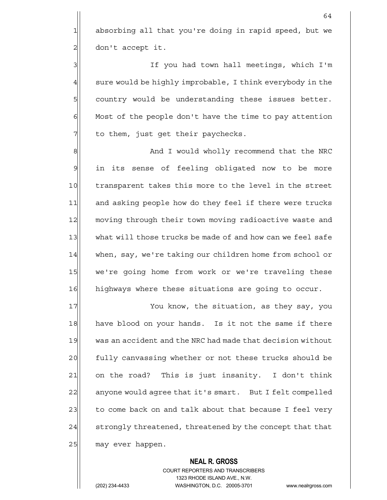1 absorbing all that you're doing in rapid speed, but we  $2$  don't accept it.

3 3 3 If you had town hall meetings, which I'm  $4$  sure would be highly improbable, I think everybody in the 5 5 5 5 country would be understanding these issues better.  $6$  Most of the people don't have the time to pay attention  $7$  to them, just get their paychecks.

8 8 And I would wholly recommend that the NRC 9 in its sense of feeling obligated now to be more 10 transparent takes this more to the level in the street 11 and asking people how do they feel if there were trucks 12 moving through their town moving radioactive waste and 13 what will those trucks be made of and how can we feel safe 14 when, say, we're taking our children home from school or 15 we're going home from work or we're traveling these 16 highways where these situations are going to occur.

17 You know, the situation, as they say, you 18 have blood on your hands. Is it not the same if there 19 was an accident and the NRC had made that decision without 20 fully canvassing whether or not these trucks should be 21 on the road? This is just insanity. I don't think 22 anyone would agree that it's smart. But I felt compelled 23 to come back on and talk about that because I feel very 24 strongly threatened, threatened by the concept that that 25 may ever happen.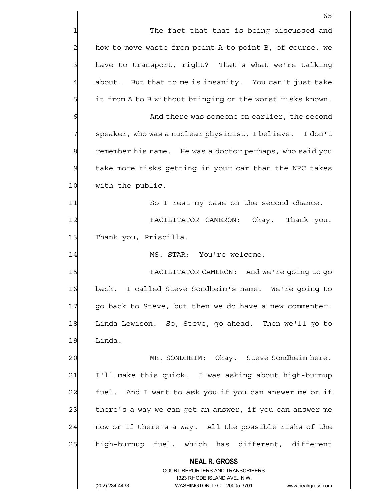|                | 65                                                                                                  |
|----------------|-----------------------------------------------------------------------------------------------------|
| 1              | The fact that that is being discussed and                                                           |
| $\overline{c}$ | how to move waste from point A to point B, of course, we                                            |
| 3              | have to transport, right? That's what we're talking                                                 |
| 4              | about. But that to me is insanity. You can't just take                                              |
| 5              | it from A to B without bringing on the worst risks known.                                           |
| 6              | And there was someone on earlier, the second                                                        |
| 7              | speaker, who was a nuclear physicist, I believe. I don't                                            |
| 8              | remember his name. He was a doctor perhaps, who said you                                            |
| 9              | take more risks getting in your car than the NRC takes                                              |
| 10             | with the public.                                                                                    |
| 11             | So I rest my case on the second chance.                                                             |
| 12             | FACILITATOR CAMERON: Okay. Thank you.                                                               |
| 13             | Thank you, Priscilla.                                                                               |
| 14             | MS. STAR: You're welcome.                                                                           |
| 15             | FACILITATOR CAMERON: And we're going to go                                                          |
| 16             | I called Steve Sondheim's name. We're going to<br>back.                                             |
| 17             | go back to Steve, but then we do have a new commenter:                                              |
| 18             | Linda Lewison. So, Steve, go ahead. Then we'll go to                                                |
| 19             | Linda.                                                                                              |
| 20             | MR. SONDHEIM: Okay. Steve Sondheim here.                                                            |
| 21             | I'll make this quick. I was asking about high-burnup                                                |
| 22             | fuel. And I want to ask you if you can answer me or if                                              |
| 23             | there's a way we can get an answer, if you can answer me                                            |
| 24             | now or if there's a way. All the possible risks of the                                              |
| 25             | high-burnup fuel, which has different, different                                                    |
|                | <b>NEAL R. GROSS</b>                                                                                |
|                | COURT REPORTERS AND TRANSCRIBERS                                                                    |
|                | 1323 RHODE ISLAND AVE., N.W.<br>(202) 234-4433<br>WASHINGTON, D.C. 20005-3701<br>www.nealrgross.com |
|                |                                                                                                     |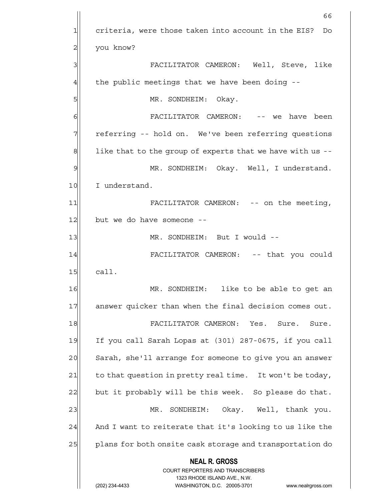**NEAL R. GROSS** COURT REPORTERS AND TRANSCRIBERS 1323 RHODE ISLAND AVE., N.W. (202) 234-4433 WASHINGTON, D.C. 20005-3701 www.nealrgross.com  $66$ 1 criteria, were those taken into account in the EIS? Do 2 you know? 3 FACILITATOR CAMERON: Well, Steve, like  $4$  the public meetings that we have been doing  $-$ -5 MR. SONDHEIM: Okay. 6 FACILITATOR CAMERON: -- we have been 7 The referring -- hold on. We've been referring questions  $8$  like that to the group of experts that we have with us  $-$ -9 MR. SONDHEIM: Okay. Well, I understand. 10 I understand. 11 FACILITATOR CAMERON: -- on the meeting,  $12$  but we do have someone --13 | MR. SONDHEIM: But I would --14 FACILITATOR CAMERON: -- that you could  $15$   $cal 1$ . 16 MR. SONDHEIM: like to be able to get an 17 answer quicker than when the final decision comes out. 18 FACILITATOR CAMERON: Yes. Sure. Sure. 19 If you call Sarah Lopas at (301) 287-0675, if you call 20 Sarah, she'll arrange for someone to give you an answer  $21$  to that question in pretty real time. It won't be today, 22 but it probably will be this week. So please do that. 23 MR. SONDHEIM: Okay. Well, thank you.  $24$  And I want to reiterate that it's looking to us like the 25 plans for both onsite cask storage and transportation do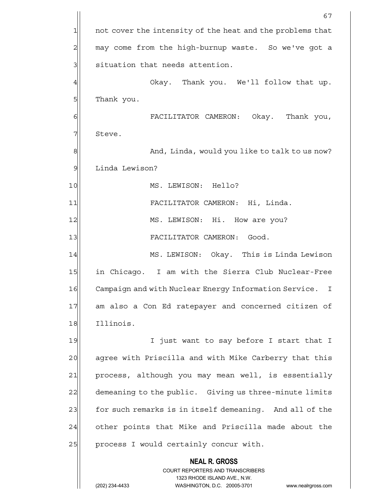|                | 67                                                                      |
|----------------|-------------------------------------------------------------------------|
| 1              | not cover the intensity of the heat and the problems that               |
| $\overline{c}$ | may come from the high-burnup waste. So we've got a                     |
| 3              | situation that needs attention.                                         |
| 4              | Okay. Thank you. We'll follow that up.                                  |
| 5              | Thank you.                                                              |
| 6              | FACILITATOR CAMERON: Okay. Thank you,                                   |
| 7              | Steve.                                                                  |
| 8              | And, Linda, would you like to talk to us now?                           |
| 9              | Linda Lewison?                                                          |
| 10             | MS. LEWISON: Hello?                                                     |
| 11             | FACILITATOR CAMERON: Hi, Linda.                                         |
| 12             | MS. LEWISON: Hi. How are you?                                           |
| 13             | FACILITATOR CAMERON: Good.                                              |
| 14             | MS. LEWISON: Okay. This is Linda Lewison                                |
| 15             | in Chicago. I am with the Sierra Club Nuclear-Free                      |
| 16             | Campaign and with Nuclear Energy Information Service.<br>I.             |
| 17             | am also a Con Ed ratepayer and concerned citizen of                     |
| 18             | Illinois.                                                               |
| 19             | I just want to say before I start that I                                |
| 20             | agree with Priscilla and with Mike Carberry that this                   |
| 21             | process, although you may mean well, is essentially                     |
| 22             | demeaning to the public. Giving us three-minute limits                  |
| 23             | for such remarks is in itself demeaning. And all of the                 |
| 24             | other points that Mike and Priscilla made about the                     |
| 25             | process I would certainly concur with.                                  |
|                | <b>NEAL R. GROSS</b>                                                    |
|                | <b>COURT REPORTERS AND TRANSCRIBERS</b><br>1323 RHODE ISLAND AVE., N.W. |
|                | (202) 234-4433<br>WASHINGTON, D.C. 20005-3701<br>www.nealrgross.com     |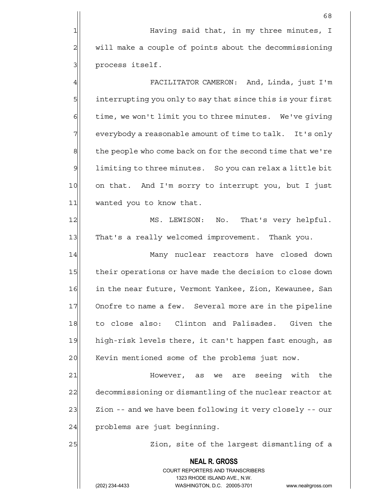1 Having said that, in my three minutes, I 2 will make a couple of points about the decommissioning 3 | process itself.

4 FACILITATOR CAMERON: And, Linda, just I'm 5 interrupting you only to say that since this is your first  $6$  time, we won't limit you to three minutes. We've giving  $7$  everybody a reasonable amount of time to talk. It's only 8 the people who come back on for the second time that we're 9 9 limiting to three minutes. So you can relax a little bit 10 on that. And I'm sorry to interrupt you, but I just 11 wanted you to know that.

12 MS. LEWISON: No. That's very helpful. 13 That's a really welcomed improvement. Thank you.

14 Many nuclear reactors have closed down 15 their operations or have made the decision to close down 16 in the near future, Vermont Yankee, Zion, Kewaunee, San 17 Onofre to name a few. Several more are in the pipeline 18 to close also: Clinton and Palisades. Given the 19 high-risk levels there, it can't happen fast enough, as 20 | Kevin mentioned some of the problems just now.

21 | However, as we are seeing with the 22 decommissioning or dismantling of the nuclear reactor at 23 Zion -- and we have been following it very closely -- our  $24$  problems are just beginning.

25 25 Zion, site of the largest dismantling of a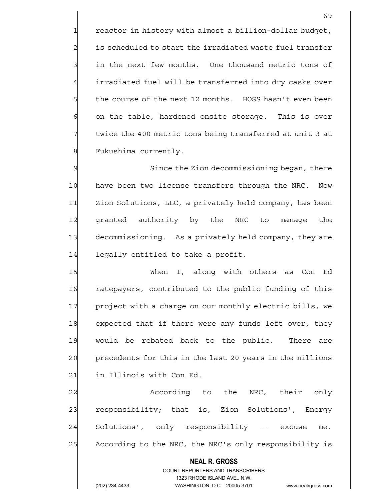reactor in history with almost a billion-dollar budget, is scheduled to start the irradiated waste fuel transfer 3 3 in the next few months. One thousand metric tons of 4 irradiated fuel will be transferred into dry casks over the course of the next 12 months. HOSS hasn't even been on the table, hardened onsite storage. This is over twice the 400 metric tons being transferred at unit 3 at 8 | Fukushima currently.

9 Since the Zion decommissioning began, there 10 have been two license transfers through the NRC. Now 11 Zion Solutions, LLC, a privately held company, has been 12 granted authority by the NRC to manage the 13 decommissioning. As a privately held company, they are  $14$  legally entitled to take a profit.

15 | When I, along with others as Con Ed 16 ratepayers, contributed to the public funding of this 17 project with a charge on our monthly electric bills, we 18 expected that if there were any funds left over, they 19 would be rebated back to the public. There are 20 precedents for this in the last 20 years in the millions 21 in Illinois with Con Ed.

22 According to the NRC, their only 23 responsibility; that is, Zion Solutions', Energy 24 Solutions', only responsibility -- excuse me. 25 According to the NRC, the NRC's only responsibility is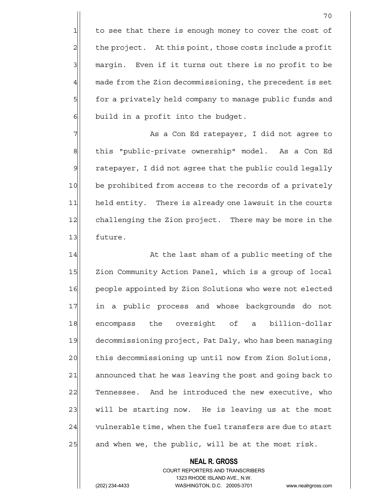1 to see that there is enough money to cover the cost of  $2$  the project. At this point, those costs include a profit 3 margin. Even if it turns out there is no profit to be  $4$  made from the Zion decommissioning, the precedent is set 5 for a privately held company to manage public funds and  $6$  build in a profit into the budget.

7 As a Con Ed ratepayer, I did not agree to 8 this "public-private ownership" model. As a Con Ed 9 ratepayer, I did not agree that the public could legally 10 be prohibited from access to the records of a privately 11 held entity. There is already one lawsuit in the courts 12 challenging the Zion project. There may be more in the 13 future.

14 at the last sham of a public meeting of the 15 Zion Community Action Panel, which is a group of local 16 people appointed by Zion Solutions who were not elected 17 in a public process and whose backgrounds do not 18 encompass the oversight of a billion-dollar 19 decommissioning project, Pat Daly, who has been managing 20 this decommissioning up until now from Zion Solutions, 21 announced that he was leaving the post and going back to 22 Tennessee. And he introduced the new executive, who 23 will be starting now. He is leaving us at the most 24 vulnerable time, when the fuel transfers are due to start  $25$  and when we, the public, will be at the most risk.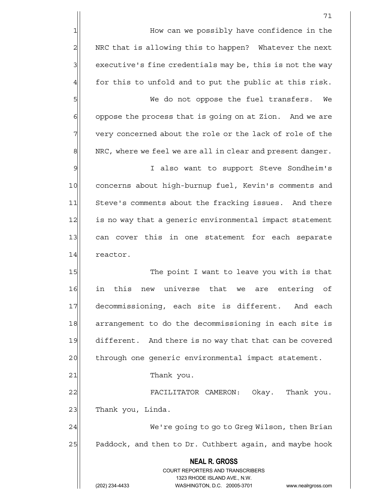1 How can we possibly have confidence in the 2 NRC that is allowing this to happen? Whatever the next 3 executive's fine credentials may be, this is not the way  $4$  for this to unfold and to put the public at this risk.

71

5 We do not oppose the fuel transfers. We oppose the process that is going on at Zion. And we are very concerned about the role or the lack of role of the NRC, where we feel we are all in clear and present danger.

9 I also want to support Steve Sondheim's 10 concerns about high-burnup fuel, Kevin's comments and 11 Steve's comments about the fracking issues. And there 12 is no way that a generic environmental impact statement 13 can cover this in one statement for each separate 14 reactor.

15 The point I want to leave you with is that 16 in this new universe that we are entering of 17 decommissioning, each site is different. And each 18 arrangement to do the decommissioning in each site is 19 different. And there is no way that that can be covered 20 through one generic environmental impact statement.

21 Thank you.

22 FACILITATOR CAMERON: Okay. Thank you.  $23$  Thank you, Linda.

24 | We're going to go to Greg Wilson, then Brian 25 Paddock, and then to Dr. Cuthbert again, and maybe hook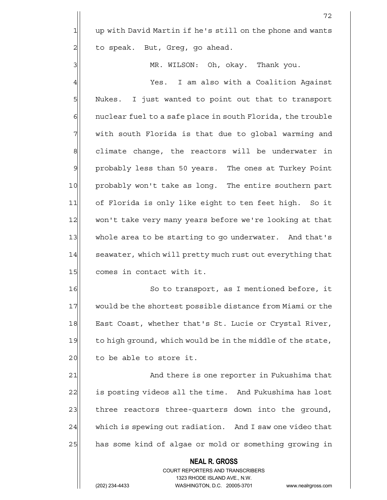$1$  up with David Martin if he's still on the phone and wants 2 | to speak. But, Greg, go ahead.

3|| MR. WILSON: Oh, okay. Thank you.

4 All Market Music Step. I am also with a Coalition Against 5 | Nukes. I just wanted to point out that to transport  $6$  nuclear fuel to a safe place in south Florida, the trouble  $7$  with south Florida is that due to global warming and 8 climate change, the reactors will be underwater in 9 | probably less than 50 years. The ones at Turkey Point 10 probably won't take as long. The entire southern part 11 of Florida is only like eight to ten feet high. So it 12 won't take very many years before we're looking at that 13 whole area to be starting to go underwater. And that's 14 seawater, which will pretty much rust out everything that 15 comes in contact with it.

16 So to transport, as I mentioned before, it 17 would be the shortest possible distance from Miami or the 18 East Coast, whether that's St. Lucie or Crystal River, 19 to high ground, which would be in the middle of the state,  $20$  to be able to store it.

21 And there is one reporter in Fukushima that 22 is posting videos all the time. And Fukushima has lost 23 three reactors three-quarters down into the ground, 24 which is spewing out radiation. And I saw one video that 25 has some kind of algae or mold or something growing in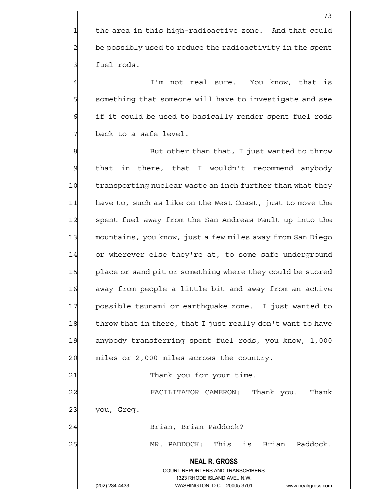$1$  the area in this high-radioactive zone. And that could  $2$  be possibly used to reduce the radioactivity in the spent 3 | fuel rods.

4 I'm not real sure. You know, that is 5 something that someone will have to investigate and see 6 6 if it could be used to basically render spent fuel rods  $7$  back to a safe level.

8 8 But other than that, I just wanted to throw  $9$  that in there, that I wouldn't recommend anybody 10 transporting nuclear waste an inch further than what they 11 have to, such as like on the West Coast, just to move the 12 spent fuel away from the San Andreas Fault up into the 13 mountains, you know, just a few miles away from San Diego 14 or wherever else they're at, to some safe underground 15 place or sand pit or something where they could be stored 16 away from people a little bit and away from an active 17 possible tsunami or earthquake zone. I just wanted to 18 throw that in there, that I just really don't want to have 19 anybody transferring spent fuel rods, you know, 1,000 20 miles or 2,000 miles across the country. 21 | Thank you for your time.

22 FACILITATOR CAMERON: Thank you. Thank 23 you, Greg.

24 | Brian, Brian Paddock?

25 MR. PADDOCK: This is Brian Paddock.

 **NEAL R. GROSS** COURT REPORTERS AND TRANSCRIBERS 1323 RHODE ISLAND AVE., N.W.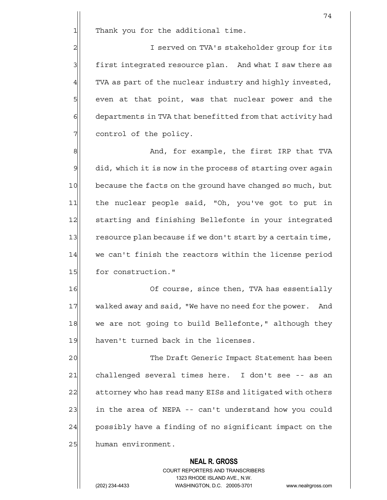$1$  Thank you for the additional time.

2 all interved on TVA's stakeholder group for its 3 first integrated resource plan. And what I saw there as  $4$  TVA as part of the nuclear industry and highly invested, 5 s 6 even at that point, was that nuclear power and the  $6$  departments in TVA that benefitted from that activity had 7 | control of the policy.

8 8 And, for example, the first IRP that TVA  $9$  did, which it is now in the process of starting over again 10 because the facts on the ground have changed so much, but 11 the nuclear people said, "Oh, you've got to put in 12 starting and finishing Bellefonte in your integrated 13 resource plan because if we don't start by a certain time, 14 we can't finish the reactors within the license period 15 for construction."

16 Of course, since then, TVA has essentially 17 walked away and said, "We have no need for the power. And 18 we are not going to build Bellefonte," although they 19 haven't turned back in the licenses.

20  $\vert$  The Draft Generic Impact Statement has been 21 challenged several times here. I don't see -- as an 22 attorney who has read many EISs and litigated with others  $23$  in the area of NEPA -- can't understand how you could 24 possibly have a finding of no significant impact on the 25 human environment.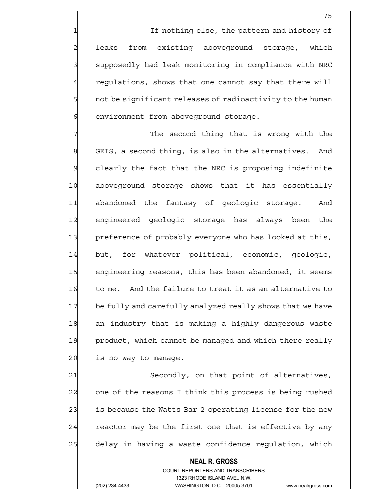1 1 If nothing else, the pattern and history of 2 leaks from existing aboveground storage, which 3 | supposedly had leak monitoring in compliance with NRC  $4$  requlations, shows that one cannot say that there will 5| not be significant releases of radioactivity to the human 6 6 environment from aboveground storage.

7 The second thing that is wrong with the 8 GEIS, a second thing, is also in the alternatives. And 9 clearly the fact that the NRC is proposing indefinite 10 aboveground storage shows that it has essentially 11 abandoned the fantasy of geologic storage. And 12 engineered geologic storage has always been the 13 preference of probably everyone who has looked at this, 14 but, for whatever political, economic, geologic, 15 engineering reasons, this has been abandoned, it seems 16 to me. And the failure to treat it as an alternative to 17 be fully and carefully analyzed really shows that we have 18 an industry that is making a highly dangerous waste 19 product, which cannot be managed and which there really  $20$  is no way to manage.

21 Secondly, on that point of alternatives, 22 one of the reasons I think this process is being rushed 23 is because the Watts Bar 2 operating license for the new  $24$  reactor may be the first one that is effective by any 25 delay in having a waste confidence regulation, which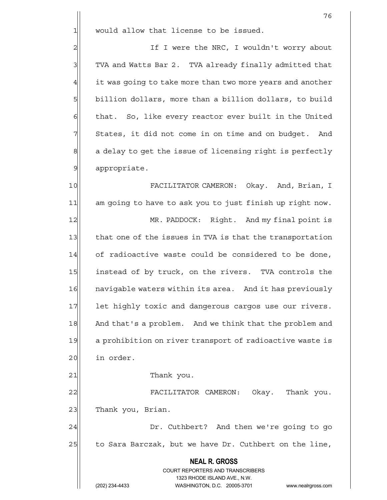$1$  would allow that license to be issued.

2 2 If I were the NRC, I wouldn't worry about 3 TVA and Watts Bar 2. TVA already finally admitted that  $4$  it was going to take more than two more years and another 5 billion dollars, more than a billion dollars, to build 6 6 that. So, like every reactor ever built in the United 7 States, it did not come in on time and on budget. And 8 a delay to get the issue of licensing right is perfectly 9 appropriate.

10 FACILITATOR CAMERON: Okay. And, Brian, I 11 am going to have to ask you to just finish up right now. 12 MR. PADDOCK: Right. And my final point is 13 that one of the issues in TVA is that the transportation 14 of radioactive waste could be considered to be done, 15 instead of by truck, on the rivers. TVA controls the 16 | navigable waters within its area. And it has previously 17 let highly toxic and dangerous cargos use our rivers. 18 And that's a problem. And we think that the problem and 19 a prohibition on river transport of radioactive waste is 20 in order. 21 Thank you. 22 FACILITATOR CAMERON: Okay. Thank you. 23 Thank you, Brian. 24 Dr. Cuthbert? And then we're going to go

25 to Sara Barczak, but we have Dr. Cuthbert on the line,

 **NEAL R. GROSS** COURT REPORTERS AND TRANSCRIBERS 1323 RHODE ISLAND AVE., N.W. (202) 234-4433 WASHINGTON, D.C. 20005-3701 www.nealrgross.com

ли последници представите по последници представите по последници представите по селото на 176<br>В 1762 године по последници по селото на 1762 године по селото на 1762 године по селото на 1763 године по село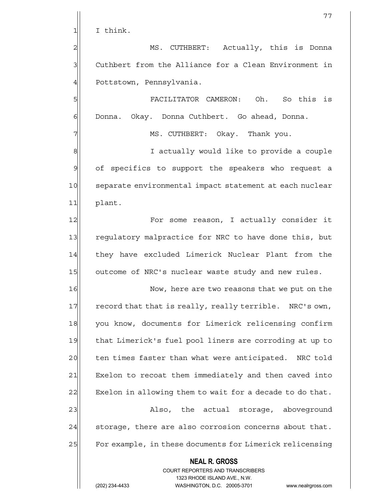$1$  I think.

2 MS. CUTHBERT: Actually, this is Donna 3 Cuthbert from the Alliance for a Clean Environment in 4 Pottstown, Pennsylvania.

5 | SINGLES FACILITATOR CAMERON: Oh. So this is 6 Donna. Okay. Donna Cuthbert. Go ahead, Donna.

7 MS. CUTHBERT: Okay. Thank you.

8 8 8 I actually would like to provide a couple 9 of specifics to support the speakers who request a 10 separate environmental impact statement at each nuclear 11 plant.

12 For some reason, I actually consider it 13 regulatory malpractice for NRC to have done this, but 14 they have excluded Limerick Nuclear Plant from the 15 outcome of NRC's nuclear waste study and new rules.

16 Now, here are two reasons that we put on the 17 record that that is really, really terrible. NRC's own, 18 you know, documents for Limerick relicensing confirm 19 that Limerick's fuel pool liners are corroding at up to 20 ten times faster than what were anticipated. NRC told 21 Exelon to recoat them immediately and then caved into 22 Exelon in allowing them to wait for a decade to do that. 23 also, the actual storage, aboveground  $24$  storage, there are also corrosion concerns about that.

25 For example, in these documents for Limerick relicensing

# **NEAL R. GROSS**

 COURT REPORTERS AND TRANSCRIBERS 1323 RHODE ISLAND AVE., N.W. (202) 234-4433 WASHINGTON, D.C. 20005-3701 www.nealrgross.com

77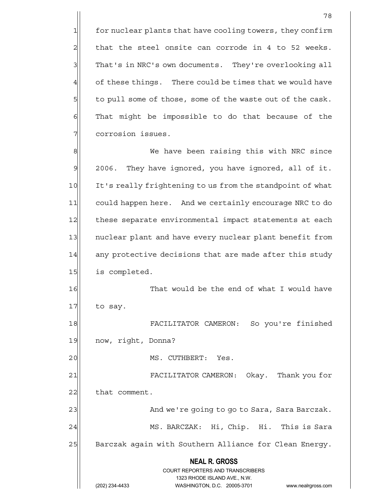for nuclear plants that have cooling towers, they confirm that the steel onsite can corrode in 4 to 52 weeks. 3 That's in NRC's own documents. They're overlooking all of these things. There could be times that we would have to pull some of those, some of the waste out of the cask. That might be impossible to do that because of the 7 corrosion issues.

8 8 Me have been raising this with NRC since  $9$  2006. They have ignored, you have ignored, all of it. 10 It's really frightening to us from the standpoint of what 11 could happen here. And we certainly encourage NRC to do 12 these separate environmental impact statements at each 13 | nuclear plant and have every nuclear plant benefit from 14 any protective decisions that are made after this study 15 is completed.

16 That would be the end of what I would have  $17$  to say.

18 FACILITATOR CAMERON: So you're finished

19 now, right, Donna?

20 | MS. CUTHBERT: Yes.

21 FACILITATOR CAMERON: Okay. Thank you for  $22$  that comment. 23 and we're going to go to Sara, Sara Barczak. 24 MS. BARCZAK: Hi, Chip. Hi. This is Sara 25 Barczak again with Southern Alliance for Clean Energy.

|                | <b>NEAL R. GROSS</b>                    |                    |
|----------------|-----------------------------------------|--------------------|
|                | <b>COURT REPORTERS AND TRANSCRIBERS</b> |                    |
|                | 1323 RHODE ISLAND AVE., N.W.            |                    |
| (202) 234-4433 | WASHINGTON D.C. 20005-3701              | www.nealrgross.com |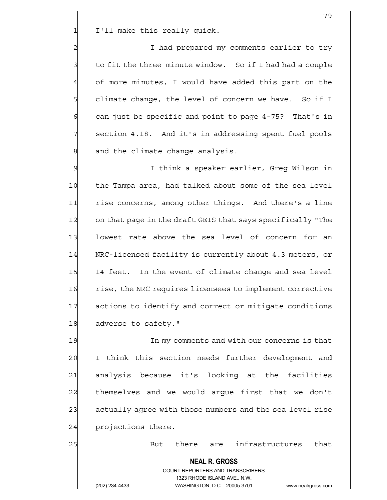1 I'll make this really quick.

2 2 I had prepared my comments earlier to try  $3$  to fit the three-minute window. So if I had had a couple 4 of more minutes, I would have added this part on the 5 5 5 5 climate change, the level of concern we have. So if I  $6$  can just be specific and point to page 4-75? That's in 7 | section 4.18. And it's in addressing spent fuel pools  $8$  and the climate change analysis.

9 I think a speaker earlier, Greq Wilson in 10 the Tampa area, had talked about some of the sea level 11 rise concerns, among other things. And there's a line 12 on that page in the draft GEIS that says specifically "The 13 lowest rate above the sea level of concern for an 14 NRC-licensed facility is currently about 4.3 meters, or 15 14 feet. In the event of climate change and sea level 16 rise, the NRC requires licensees to implement corrective 17 actions to identify and correct or mitigate conditions 18 adverse to safety."

19 In my comments and with our concerns is that 20 I think this section needs further development and 21 analysis because it's looking at the facilities 22 themselves and we would argue first that we don't 23 actually agree with those numbers and the sea level rise 24 projections there.

25 But there are infrastructures that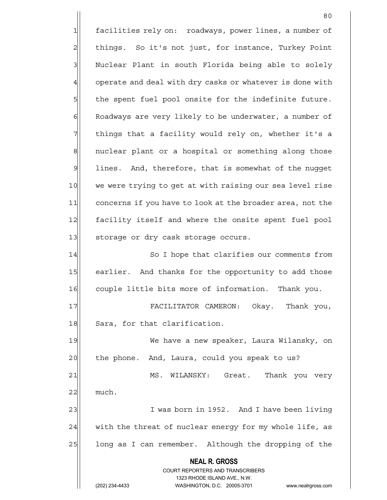**NEAL R. GROSS** COURT REPORTERS AND TRANSCRIBERS 1323 RHODE ISLAND AVE., N.W. (202) 234-4433 WASHINGTON, D.C. 20005-3701 www.nealrgross.com <u>80</u> 1 facilities rely on: roadways, power lines, a number of 2 | things. So it's not just, for instance, Turkey Point 3 | Nuclear Plant in south Florida being able to solely  $4$  operate and deal with dry casks or whatever is done with  $5$  the spent fuel pool onsite for the indefinite future. 6 6 Roadways are very likely to be underwater, a number of  $7$  things that a facility would rely on, whether it's a 8 8 nuclear plant or a hospital or something along those 9 | lines. And, therefore, that is somewhat of the nugget 10 we were trying to get at with raising our sea level rise 11 concerns if you have to look at the broader area, not the 12 facility itself and where the onsite spent fuel pool 13 Storage or dry cask storage occurs. 14 So I hope that clarifies our comments from 15 earlier. And thanks for the opportunity to add those 16 couple little bits more of information. Thank you. 17 FACILITATOR CAMERON: Okay. Thank you, 18 Sara, for that clarification. 19 We have a new speaker, Laura Wilansky, on 20 | the phone. And, Laura, could you speak to us? 21 MS. WILANSKY: Great. Thank you very  $22$  much. 23 and I was born in 1952. And I have been living  $24$  with the threat of nuclear energy for my whole life, as 25 | long as I can remember. Although the dropping of the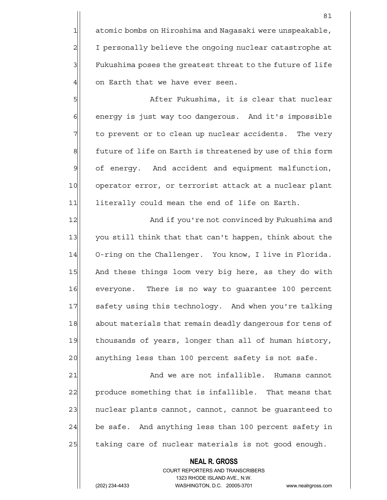1 atomic bombs on Hiroshima and Nagasaki were unspeakable, 2 I personally believe the ongoing nuclear catastrophe at 3 Fukushima poses the greatest threat to the future of life 4 on Earth that we have ever seen.

5 | Solution Sulter Fukushima, it is clear that nuclear 6 6 6 energy is just way too dangerous. And it's impossible  $7$  to prevent or to clean up nuclear accidents. The very 8 future of life on Earth is threatened by use of this form 9 of energy. And accident and equipment malfunction, 10 operator error, or terrorist attack at a nuclear plant 11 literally could mean the end of life on Earth.

12 and if you're not convinced by Fukushima and 13 you still think that that can't happen, think about the 14 O-ring on the Challenger. You know, I live in Florida. 15 And these things loom very big here, as they do with 16 everyone. There is no way to guarantee 100 percent 17 safety using this technology. And when you're talking 18 about materials that remain deadly dangerous for tens of 19 thousands of years, longer than all of human history, 20 anything less than 100 percent safety is not safe.

21 and we are not infallible. Humans cannot 22 produce something that is infallible. That means that 23 nuclear plants cannot, cannot, cannot be quaranteed to 24 be safe. And anything less than 100 percent safety in 25 taking care of nuclear materials is not good enough.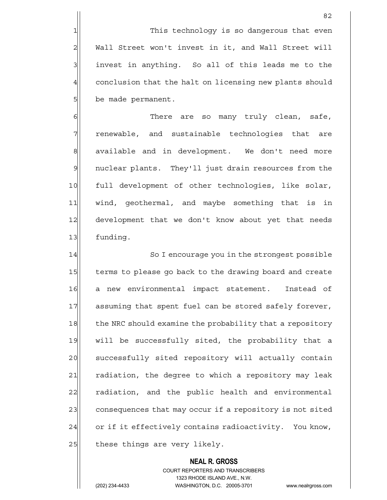1 This technology is so dangerous that even 2 Wall Street won't invest in it, and Wall Street will  $3$  invest in anything. So all of this leads me to the 4 conclusion that the halt on licensing new plants should 5| be made permanent.

6 There are so many truly clean, safe, 7 Tenewable, and sustainable technologies that are 8 available and in development. We don't need more 9 | nuclear plants. They'll just drain resources from the 10 full development of other technologies, like solar, 11 | wind, geothermal, and maybe something that is in 12 development that we don't know about yet that needs 13 funding.

14 So I encourage you in the strongest possible 15 terms to please go back to the drawing board and create 16 a new environmental impact statement. Instead of 17 assuming that spent fuel can be stored safely forever, 18 the NRC should examine the probability that a repository 19 will be successfully sited, the probability that a 20 successfully sited repository will actually contain 21 radiation, the degree to which a repository may leak 22 radiation, and the public health and environmental 23 consequences that may occur if a repository is not sited 24 or if it effectively contains radioactivity. You know,  $25$  these things are very likely.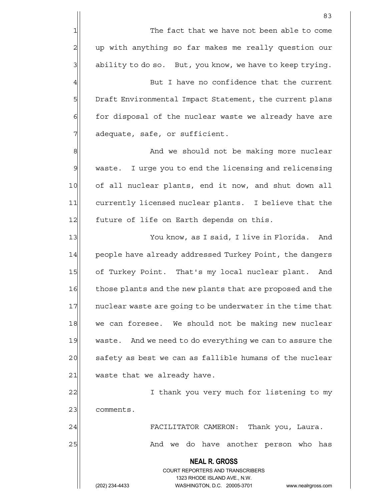$1$  The fact that we have not been able to come 2 2 up with anything so far makes me really question our  $3$  ability to do so. But, you know, we have to keep trying.

 $4$  But I have no confidence that the current 5 Draft Environmental Impact Statement, the current plans 6 6 6 for disposal of the nuclear waste we already have are  $7$  adequate, safe, or sufficient.

8 8 And we should not be making more nuclear 9 waste. I urge you to end the licensing and relicensing 10 of all nuclear plants, end it now, and shut down all 11| currently licensed nuclear plants. I believe that the 12 future of life on Earth depends on this.

13 You know, as I said, I live in Florida. And 14 people have already addressed Turkey Point, the dangers 15 of Turkey Point. That's my local nuclear plant. And 16 those plants and the new plants that are proposed and the 17 nuclear waste are going to be underwater in the time that 18 we can foresee. We should not be making new nuclear 19 waste. And we need to do everything we can to assure the 20 safety as best we can as fallible humans of the nuclear  $21$  waste that we already have.

22 and 1 I thank you very much for listening to my 23 comments.

24 FACILITATOR CAMERON: Thank you, Laura.

25 And we do have another person who has

## **NEAL R. GROSS**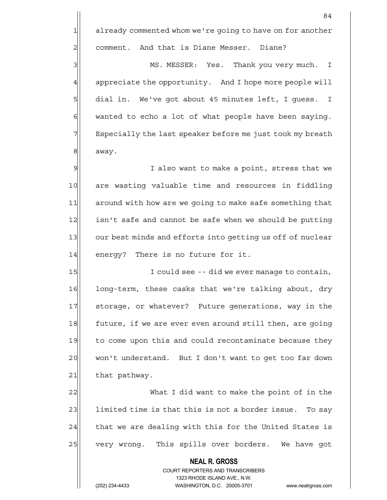1 already commented whom we're going to have on for another 2 | comment. And that is Diane Messer. Diane?

3 MS. MESSER: Yes. Thank you very much. I 4 appreciate the opportunity. And I hope more people will 5| dial in. We've got about 45 minutes left, I guess. I  $6$  wanted to echo a lot of what people have been saying.  $7$  Especially the last speaker before me just took my breath 8 away.

9| Sandal Marker is not to make a point, stress that we 10 are wasting valuable time and resources in fiddling 11 around with how are we going to make safe something that 12 isn't safe and cannot be safe when we should be putting 13 our best minds and efforts into getting us off of nuclear 14 energy? There is no future for it.

15 I could see -- did we ever manage to contain, 16 long-term, these casks that we're talking about, dry 17 Storage, or whatever? Future generations, way in the 18 future, if we are ever even around still then, are going 19 to come upon this and could recontaminate because they 20 won't understand. But I don't want to get too far down  $21$  that pathway.

22 What I did want to make the point of in the  $23$  limited time is that this is not a border issue. To say  $24$  that we are dealing with this for the United States is 25 very wrong. This spills over borders. We have got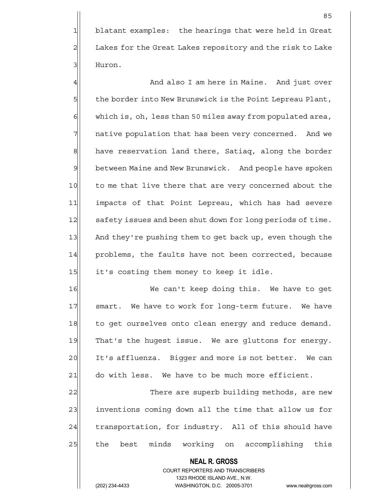1 blatant examples: the hearings that were held in Great 2 Lakes for the Great Lakes repository and the risk to Lake 31 Huron.

4 And also I am here in Maine. And just over 5 5 the border into New Brunswick is the Point Lepreau Plant,  $6$  which is, oh, less than 50 miles away from populated area, 7 | native population that has been very concerned. And we 8 have reservation land there, Satiaq, along the border 9 between Maine and New Brunswick. And people have spoken 10 to me that live there that are very concerned about the 11 impacts of that Point Lepreau, which has had severe 12 safety issues and been shut down for long periods of time. 13 And they're pushing them to get back up, even though the 14 problems, the faults have not been corrected, because 15 it's costing them money to keep it idle.

16 We can't keep doing this. We have to get 17 Smart. We have to work for long-term future. We have 18 to get ourselves onto clean energy and reduce demand. 19 That's the hugest issue. We are gluttons for energy. 20 It's affluenza. Bigger and more is not better. We can  $21$  do with less. We have to be much more efficient.

22 There are superb building methods, are new 23 inventions coming down all the time that allow us for 24 transportation, for industry. All of this should have 25 | the best minds working on accomplishing this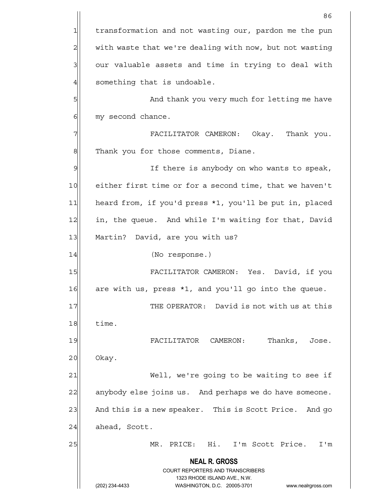**NEAL R. GROSS** COURT REPORTERS AND TRANSCRIBERS 1323 RHODE ISLAND AVE., N.W. (202) 234-4433 WASHINGTON, D.C. 20005-3701 www.nealrgross.com <u>86 and 2001 and 2002 and 2003 and 2003 and 2003 and 2003 and 2003 and 2003 and 2003 and 2003 and 2003 and 200</u> 1 transformation and not wasting our, pardon me the pun 2 with waste that we're dealing with now, but not wasting  $3$  our valuable assets and time in trying to deal with  $4$  something that is undoable. 5 5 5 And thank you very much for letting me have  $6$  my second chance. 7 FACILITATOR CAMERON: Okay. Thank you. 8 | Thank you for those comments, Diane. 9 If there is anybody on who wants to speak, 10 either first time or for a second time, that we haven't 11 heard from, if you'd press \*1, you'll be put in, placed 12 in, the queue. And while I'm waiting for that, David 13 Martin? David, are you with us? 14 (No response.) 15 | FACILITATOR CAMERON: Yes. David, if you  $16$  are with us, press  $*1$ , and you'll go into the queue. 17 THE OPERATOR: David is not with us at this  $18$  time. 19 FACILITATOR CAMERON: Thanks, Jose.  $20$  Okay. 21 Well, we're going to be waiting to see if 22 anybody else joins us. And perhaps we do have someone. 23 And this is a new speaker. This is Scott Price. And go  $24$  ahead, Scott. 25| MR. PRICE: Hi. I'm Scott Price. I'm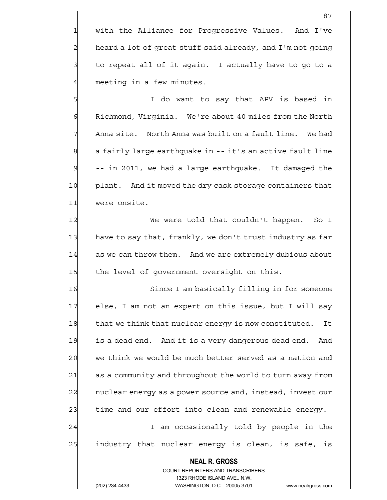1 with the Alliance for Progressive Values. And I've heard a lot of great stuff said already, and I'm not going to repeat all of it again. I actually have to go to a meeting in a few minutes.

5 I do want to say that APV is based in 6 Richmond, Virginia. We're about 40 miles from the North 7 | Anna site. North Anna was built on a fault line. We had  $8$  a fairly large earthquake in  $-$  it's an active fault line  $9$  -- in 2011, we had a large earthquake. It damaged the 10 plant. And it moved the dry cask storage containers that 11 were onsite.

12 We were told that couldn't happen. So I 13 have to say that, frankly, we don't trust industry as far 14 as we can throw them. And we are extremely dubious about 15 the level of government oversight on this.

16 Since I am basically filling in for someone 17 else, I am not an expert on this issue, but I will say 18 that we think that nuclear energy is now constituted. It 19 is a dead end. And it is a very dangerous dead end. And 20 we think we would be much better served as a nation and 21 as a community and throughout the world to turn away from 22 nuclear energy as a power source and, instead, invest our 23 time and our effort into clean and renewable energy. 24 | I am occasionally told by people in the

> **NEAL R. GROSS** COURT REPORTERS AND TRANSCRIBERS 1323 RHODE ISLAND AVE., N.W.

25 | industry that nuclear energy is clean, is safe, is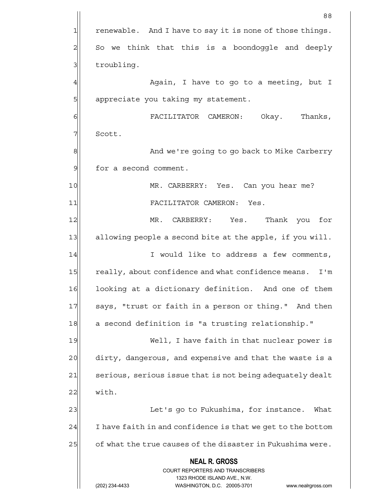**NEAL R. GROSS** COURT REPORTERS AND TRANSCRIBERS 1323 RHODE ISLAND AVE., N.W. (202) 234-4433 WASHINGTON, D.C. 20005-3701 www.nealrgross.com 88  $1$  renewable. And I have to say it is none of those things.  $2 \parallel$  So we think that this is a boondoggle and deeply 3 **b** troubling. 4 Again, I have to go to a meeting, but I 5 | appreciate you taking my statement. 6 FACILITATOR CAMERON: Okay. Thanks, 7| Scott. 8 8 And we're going to go back to Mike Carberry 9 | for a second comment. 10 MR. CARBERRY: Yes. Can you hear me? 11 FACILITATOR CAMERON: Yes. 12 MR. CARBERRY: Yes. Thank you for 13 allowing people a second bite at the apple, if you will. 14 I I would like to address a few comments, 15 really, about confidence and what confidence means. I'm 16 looking at a dictionary definition. And one of them 17 | says, "trust or faith in a person or thing." And then 18 a second definition is "a trusting relationship." 19 Well, I have faith in that nuclear power is 20 dirty, dangerous, and expensive and that the waste is a 21 serious, serious issue that is not being adequately dealt  $22$  with. 23 | Let's go to Fukushima, for instance. What  $24$  I have faith in and confidence is that we get to the bottom 25 of what the true causes of the disaster in Fukushima were.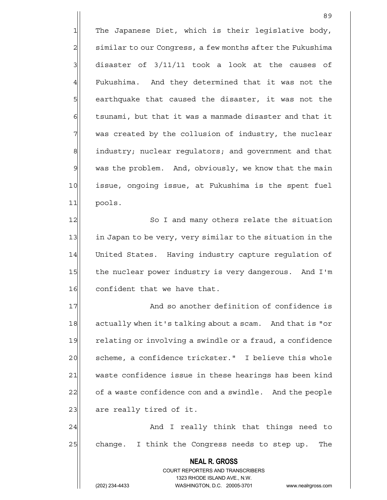1 The Japanese Diet, which is their legislative body,  $2$  similar to our Congress, a few months after the Fukushima  $3\vert$  disaster of  $3/11/11$  took a look at the causes of 4 Fukushima. And they determined that it was not the 5 | show earthquake that caused the disaster, it was not the 6 6 tsunami, but that it was a manmade disaster and that it  $7$  was created by the collusion of industry, the nuclear 8 8 industry; nuclear regulators; and government and that 9 was the problem. And, obviously, we know that the main 10 issue, ongoing issue, at Fukushima is the spent fuel 11 pools.

12 So I and many others relate the situation 13 in Japan to be very, very similar to the situation in the 14 United States. Having industry capture regulation of 15 the nuclear power industry is very dangerous. And I'm 16 confident that we have that.

17 And so another definition of confidence is 18 actually when it's talking about a scam. And that is "or 19 relating or involving a swindle or a fraud, a confidence 20 scheme, a confidence trickster." I believe this whole 21 waste confidence issue in these hearings has been kind 22 of a waste confidence con and a swindle. And the people 23 are really tired of it.

24 and I really think that things need to 25 change. I think the Congress needs to step up. The

> **NEAL R. GROSS** COURT REPORTERS AND TRANSCRIBERS 1323 RHODE ISLAND AVE., N.W.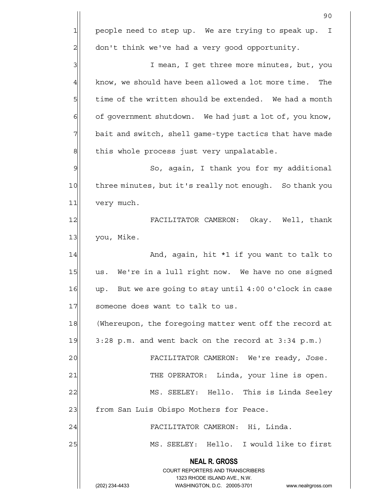|                | 90                                                                                                  |  |  |  |
|----------------|-----------------------------------------------------------------------------------------------------|--|--|--|
| 1              | people need to step up. We are trying to speak up.<br>$\mathbf{I}$                                  |  |  |  |
| $\overline{2}$ | don't think we've had a very good opportunity.                                                      |  |  |  |
| 3              | I mean, I get three more minutes, but, you                                                          |  |  |  |
| $\overline{4}$ | know, we should have been allowed a lot more time.<br>The                                           |  |  |  |
| 5              | time of the written should be extended. We had a month                                              |  |  |  |
| 6              | of government shutdown. We had just a lot of, you know,                                             |  |  |  |
| 7              | bait and switch, shell game-type tactics that have made                                             |  |  |  |
| 8              | this whole process just very unpalatable.                                                           |  |  |  |
| $\mathcal{G}$  | So, again, I thank you for my additional                                                            |  |  |  |
| 10             | three minutes, but it's really not enough. So thank you                                             |  |  |  |
| 11             | very much.                                                                                          |  |  |  |
| 12             | FACILITATOR CAMERON: Okay. Well, thank                                                              |  |  |  |
| 13             | you, Mike.                                                                                          |  |  |  |
| 14             | And, again, hit *1 if you want to talk to                                                           |  |  |  |
| 15             | us. We're in a lull right now. We have no one signed                                                |  |  |  |
| 16             | But we are going to stay until 4:00 o'clock in case<br>up.                                          |  |  |  |
| 17             | someone does want to talk to us.                                                                    |  |  |  |
| 18             | (Whereupon, the foregoing matter went off the record at                                             |  |  |  |
| 19             | 3:28 p.m. and went back on the record at 3:34 p.m.)                                                 |  |  |  |
| 20             | FACILITATOR CAMERON: We're ready, Jose.                                                             |  |  |  |
| 21             | THE OPERATOR: Linda, your line is open.                                                             |  |  |  |
| 22             | MS. SEELEY: Hello. This is Linda Seeley                                                             |  |  |  |
| 23             | from San Luis Obispo Mothers for Peace.                                                             |  |  |  |
| 24             | FACILITATOR CAMERON: Hi, Linda.                                                                     |  |  |  |
| 25             | MS. SEELEY: Hello. I would like to first                                                            |  |  |  |
|                | <b>NEAL R. GROSS</b>                                                                                |  |  |  |
|                | COURT REPORTERS AND TRANSCRIBERS                                                                    |  |  |  |
|                | 1323 RHODE ISLAND AVE., N.W.<br>(202) 234-4433<br>WASHINGTON, D.C. 20005-3701<br>www.nealrgross.com |  |  |  |
|                |                                                                                                     |  |  |  |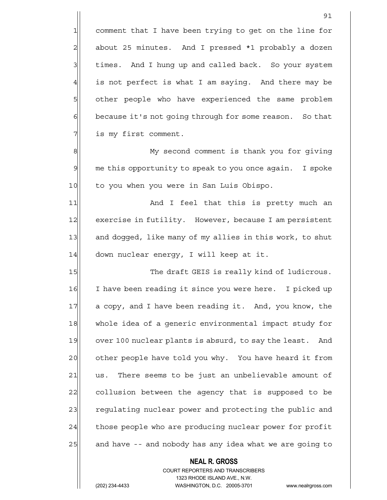1 comment that I have been trying to get on the line for  $2$  about 25 minutes. And I pressed \*1 probably a dozen 3 times. And I hung up and called back. So your system  $4$  is not perfect is what I am saying. And there may be 5 5 5 other people who have experienced the same problem 6 because it's not going through for some reason. So that 7 | is my first comment.

8 My second comment is thank you for giving 9 me this opportunity to speak to you once again. I spoke 10 to you when you were in San Luis Obispo.

11 and I feel that this is pretty much an 12 exercise in futility. However, because I am persistent 13 and dogged, like many of my allies in this work, to shut 14 down nuclear energy, I will keep at it.

15 The draft GEIS is really kind of ludicrous. 16 I have been reading it since you were here. I picked up 17 a copy, and I have been reading it. And, you know, the 18 whole idea of a generic environmental impact study for 19 over 100 nuclear plants is absurd, to say the least. And 20 cther people have told you why. You have heard it from 21 us. There seems to be just an unbelievable amount of 22 collusion between the agency that is supposed to be 23 regulating nuclear power and protecting the public and 24 those people who are producing nuclear power for profit 25 and have -- and nobody has any idea what we are going to

#### **NEAL R. GROSS**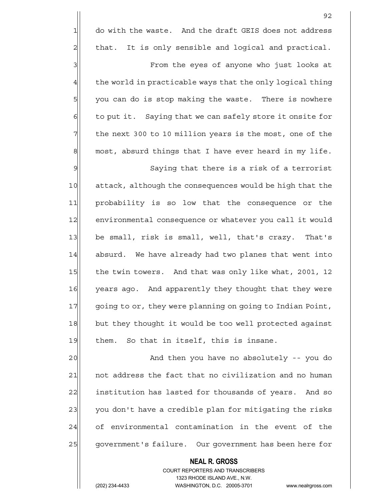$1$  do with the waste. And the draft GEIS does not address  $2$  that. It is only sensible and logical and practical.

3 3 From the eyes of anyone who just looks at  $4$  the world in practicable ways that the only logical thing 5| you can do is stop making the waste. There is nowhere  $6$  to put it. Saying that we can safely store it onsite for  $7$  the next 300 to 10 million years is the most, one of the  $8$  most, absurd things that I have ever heard in my life. 9 Saying that there is a risk of a terrorist

10 attack, although the consequences would be high that the 11 probability is so low that the consequence or the 12 environmental consequence or whatever you call it would 13 be small, risk is small, well, that's crazy. That's 14 absurd. We have already had two planes that went into 15 the twin towers. And that was only like what, 2001, 12 16 years ago. And apparently they thought that they were 17 going to or, they were planning on going to Indian Point, 18 but they thought it would be too well protected against  $19$  them. So that in itself, this is insane.

20 and then you have no absolutely -- you do 21 | not address the fact that no civilization and no human 22 institution has lasted for thousands of years. And so 23 you don't have a credible plan for mitigating the risks 24 of environmental contamination in the event of the 25 government's failure. Our government has been here for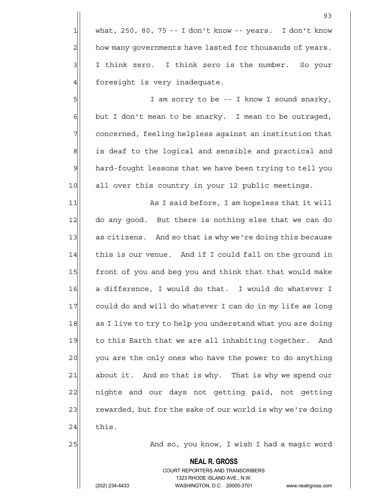$1$  what, 250, 80, 75 -- I don't know -- years. I don't know 2 how many governments have lasted for thousands of years. 3 I think zero. I think zero is the number. So your  $4$  foresight is very inadequate.

5 | Singlet in the sound snarky, to be -- I know I sound snarky,  $6$  but I don't mean to be snarky. I mean to be outraged, 7 concerned, feeling helpless against an institution that 8 8 is deaf to the logical and sensible and practical and 9 hard-fought lessons that we have been trying to tell you 10 all over this country in your 12 public meetings.

11 As I said before, I am hopeless that it will 12 do any good. But there is nothing else that we can do 13 as citizens. And so that is why we're doing this because 14 this is our venue. And if I could fall on the ground in 15 front of you and beg you and think that that would make 16 a difference, I would do that. I would do whatever I 17 could do and will do whatever I can do in my life as long 18 as I live to try to help you understand what you are doing 19 to this Earth that we are all inhabiting together. And 20 you are the only ones who have the power to do anything 21 about it. And so that is why. That is why we spend our 22 | nights and our days not getting paid, not getting 23 rewarded, but for the sake of our world is why we're doing  $24$  this.

25 | And so, you know, I wish I had a magic word

#### **NEAL R. GROSS**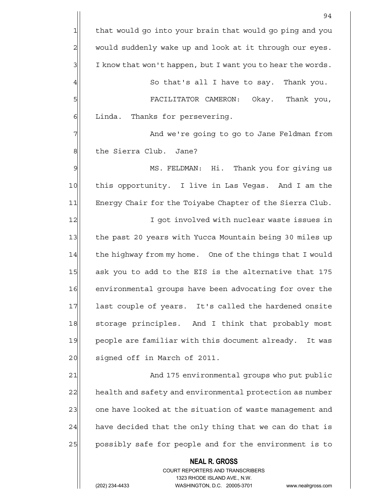**NEAL R. GROSS** 94 1 that would go into your brain that would go ping and you 2 would suddenly wake up and look at it through our eyes.  $3$  I know that won't happen, but I want you to hear the words.  $4$   $\parallel$  So that's all I have to say. Thank you. 5 FACILITATOR CAMERON: Okay. Thank you, 6 Linda. Thanks for persevering. 7 and we're going to go to Jane Feldman from 8 | the Sierra Club. Jane? 9 MS. FELDMAN: Hi. Thank you for giving us 10 this opportunity. I live in Las Vegas. And I am the 11 Energy Chair for the Toiyabe Chapter of the Sierra Club. 12 I got involved with nuclear waste issues in 13 the past 20 years with Yucca Mountain being 30 miles up 14 the highway from my home. One of the things that I would 15 ask you to add to the EIS is the alternative that 175 16 environmental groups have been advocating for over the 17 last couple of years. It's called the hardened onsite 18 storage principles. And I think that probably most 19 people are familiar with this document already. It was 20 signed off in March of 2011. 21 And 175 environmental groups who put public 22 health and safety and environmental protection as number 23 one have looked at the situation of waste management and  $24$  have decided that the only thing that we can do that is 25 possibly safe for people and for the environment is to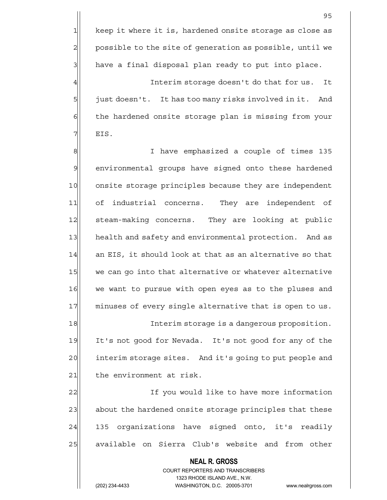4 all interim storage doesn't do that for us. It 5 just doesn't. It has too many risks involved in it. And 6 6 the hardened onsite storage plan is missing from your 7| EIS.

8 8 8 I have emphasized a couple of times 135 9 environmental groups have signed onto these hardened 10 onsite storage principles because they are independent 11 of industrial concerns. They are independent of 12 steam-making concerns. They are looking at public 13 health and safety and environmental protection. And as  $14$  an EIS, it should look at that as an alternative so that 15 we can go into that alternative or whatever alternative 16 we want to pursue with open eyes as to the pluses and 17 minuses of every single alternative that is open to us.

18 Interim storage is a dangerous proposition. 19 It's not good for Nevada. It's not good for any of the 20 interim storage sites. And it's going to put people and 21 the environment at risk.

22 and 1 If you would like to have more information 23 about the hardened onsite storage principles that these 24 135 organizations have signed onto, it's readily 25 available on Sierra Club's website and from other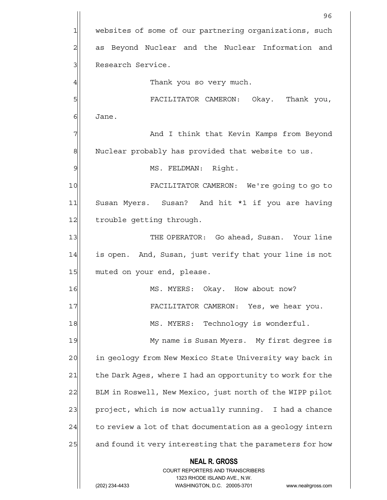**NEAL R. GROSS** COURT REPORTERS AND TRANSCRIBERS 1323 RHODE ISLAND AVE., N.W. <u>96 and 2001 and 2001 and 2001 and 2001 and 2001 and 2001 and 2001 and 2001 and 2001 and 2001 and 2001 and 200</u> 1 websites of some of our partnering organizations, such 2 as Beyond Nuclear and the Nuclear Information and 3 Research Service. 4 and thank you so very much. 5 FACILITATOR CAMERON: Okay. Thank you, 6 Jane. 7 And I think that Kevin Kamps from Beyond 8 Nuclear probably has provided that website to us. 9 MS. FELDMAN: Right. 10 FACILITATOR CAMERON: We're going to go to 11 Susan Myers. Susan? And hit \*1 if you are having 12 trouble getting through. 13 THE OPERATOR: Go ahead, Susan. Your line 14 is open. And, Susan, just verify that your line is not 15 muted on your end, please. 16 MS. MYERS: Okay. How about now? 17 FACILITATOR CAMERON: Yes, we hear you. 18 MS. MYERS: Technology is wonderful. 19 My name is Susan Myers. My first degree is 20 in geology from New Mexico State University way back in 21 the Dark Ages, where I had an opportunity to work for the 22 BLM in Roswell, New Mexico, just north of the WIPP pilot 23 project, which is now actually running. I had a chance  $24$  to review a lot of that documentation as a geology intern 25 and found it very interesting that the parameters for how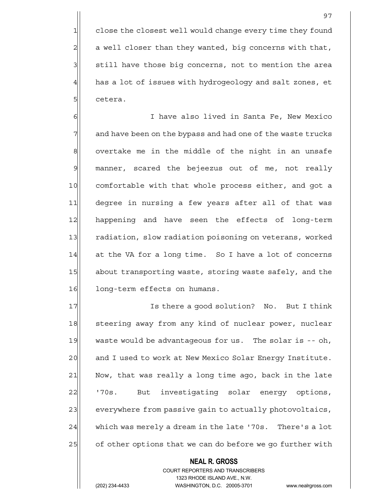1 close the closest well would change every time they found  $2$  a well closer than they wanted, big concerns with that, 3 3 still have those big concerns, not to mention the area  $4$  has a lot of issues with hydrogeology and salt zones, et  $5$  cetera.

6 | I have also lived in Santa Fe, New Mexico  $7$  and have been on the bypass and had one of the waste trucks  $8$  overtake me in the middle of the night in an unsafe 9 manner, scared the bejeezus out of me, not really 10 comfortable with that whole process either, and got a 11 degree in nursing a few years after all of that was 12 happening and have seen the effects of long-term 13 radiation, slow radiation poisoning on veterans, worked 14 at the VA for a long time. So I have a lot of concerns 15 about transporting waste, storing waste safely, and the 16 long-term effects on humans.

17 Is there a good solution? No. But I think 18 steering away from any kind of nuclear power, nuclear 19 waste would be advantageous for us. The solar is -- oh, 20 and I used to work at New Mexico Solar Energy Institute. 21 Now, that was really a long time ago, back in the late 22 | '70s. But investigating solar energy options, 23 everywhere from passive gain to actually photovoltaics,  $24$  which was merely a dream in the late '70s. There's a lot 25 of other options that we can do before we go further with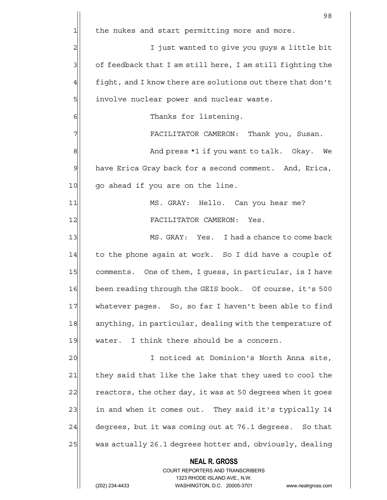|                | 98                                                                                                  |  |  |  |
|----------------|-----------------------------------------------------------------------------------------------------|--|--|--|
| $\mathbf{1}$   | the nukes and start permitting more and more.                                                       |  |  |  |
| $\overline{c}$ | I just wanted to give you guys a little bit                                                         |  |  |  |
| 3              | of feedback that I am still here, I am still fighting the                                           |  |  |  |
| 4              | fight, and I know there are solutions out there that don't                                          |  |  |  |
| 5              | involve nuclear power and nuclear waste.                                                            |  |  |  |
| 6              | Thanks for listening.                                                                               |  |  |  |
| 7              | FACILITATOR CAMERON: Thank you, Susan.                                                              |  |  |  |
| 8              | And press *1 if you want to talk. Okay. We                                                          |  |  |  |
| $\mathcal{Q}$  | have Erica Gray back for a second comment. And, Erica,                                              |  |  |  |
| 10             | go ahead if you are on the line.                                                                    |  |  |  |
| 11             | MS. GRAY: Hello. Can you hear me?                                                                   |  |  |  |
| 12             | FACILITATOR CAMERON: Yes.                                                                           |  |  |  |
| 13             | MS. GRAY: Yes. I had a chance to come back                                                          |  |  |  |
| 14             | to the phone again at work. So I did have a couple of                                               |  |  |  |
| 15             | comments. One of them, I guess, in particular, is I have                                            |  |  |  |
| 16             | been reading through the GEIS book. Of course, it's 500                                             |  |  |  |
| 17             | whatever pages. So, so far I haven't been able to find                                              |  |  |  |
| 18             | anything, in particular, dealing with the temperature of                                            |  |  |  |
| 19             | water. I think there should be a concern.                                                           |  |  |  |
| 20             | I noticed at Dominion's North Anna site,                                                            |  |  |  |
| 21             | they said that like the lake that they used to cool the                                             |  |  |  |
| 22             | reactors, the other day, it was at 50 degrees when it goes                                          |  |  |  |
| 23             | in and when it comes out. They said it's typically 14                                               |  |  |  |
| 24             | degrees, but it was coming out at 76.1 degrees. So that                                             |  |  |  |
| 25             | was actually 26.1 degrees hotter and, obviously, dealing                                            |  |  |  |
|                | <b>NEAL R. GROSS</b>                                                                                |  |  |  |
|                | <b>COURT REPORTERS AND TRANSCRIBERS</b>                                                             |  |  |  |
|                | 1323 RHODE ISLAND AVE., N.W.<br>(202) 234-4433<br>WASHINGTON, D.C. 20005-3701<br>www.nealrgross.com |  |  |  |
|                |                                                                                                     |  |  |  |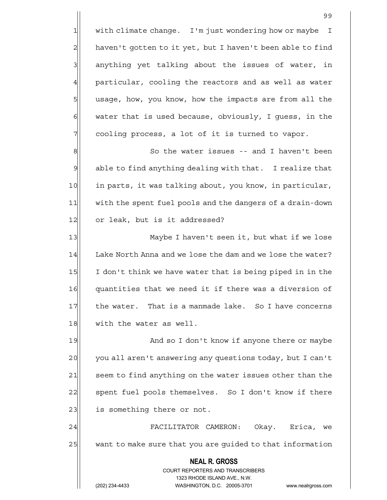1 with climate change. I'm just wondering how or maybe I  $2$  haven't gotten to it yet, but I haven't been able to find  $3$  anything yet talking about the issues of water, in 4 particular, cooling the reactors and as well as water 5 5 5 b usage, how, you know, how the impacts are from all the  $6$  water that is used because, obviously, I quess, in the  $7$  cooling process, a lot of it is turned to vapor.

8 8 So the water issues -- and I haven't been  $9$  able to find anything dealing with that. I realize that 10 in parts, it was talking about, you know, in particular, 11 with the spent fuel pools and the dangers of a drain-down 12 or leak, but is it addressed?

13 Maybe I haven't seen it, but what if we lose 14 Lake North Anna and we lose the dam and we lose the water? 15 I don't think we have water that is being piped in in the 16 quantities that we need it if there was a diversion of 17 the water. That is a manmade lake. So I have concerns 18 with the water as well.

19 And so I don't know if anyone there or maybe 20 you all aren't answering any questions today, but I can't 21 seem to find anything on the water issues other than the 22 spent fuel pools themselves. So I don't know if there 23 is something there or not.

24 FACILITATOR CAMERON: Okay. Erica, we 25 want to make sure that you are guided to that information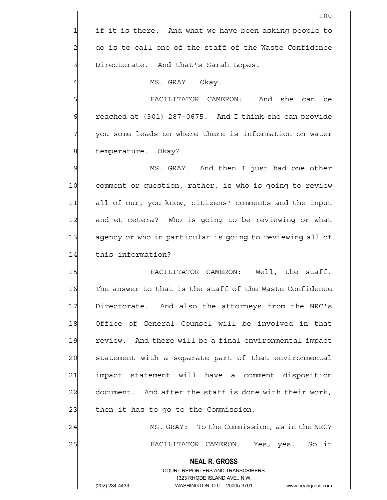**NEAL R. GROSS** COURT REPORTERS AND TRANSCRIBERS 1323 RHODE ISLAND AVE., N.W. (202) 234-4433 WASHINGTON, D.C. 20005-3701 www.nealrgross.com 100  $1$  if it is there. And what we have been asking people to  $2$  do is to call one of the staff of the Waste Confidence 3 | Directorate. And that's Sarah Lopas. 4 | MS. GRAY: Okay. 5 FACILITATOR CAMERON: And she can be  $6$  reached at (301) 287-0675. And I think she can provide  $7$  you some leads on where there is information on water 8 | temperature. Okay? 9 MS. GRAY: And then I just had one other 10 comment or question, rather, is who is going to review 11 all of our, you know, citizens' comments and the input 12 and et cetera? Who is going to be reviewing or what 13 agency or who in particular is going to reviewing all of 14 this information? 15 FACILITATOR CAMERON: Well, the staff. 16 The answer to that is the staff of the Waste Confidence 17 Directorate. And also the attorneys from the NRC's 18 Office of General Counsel will be involved in that 19 review. And there will be a final environmental impact 20 statement with a separate part of that environmental 21 impact statement will have a comment disposition 22 document. And after the staff is done with their work,  $23$  then it has to go to the Commission. 24 MS. GRAY: To the Commission, as in the NRC? 25 FACILITATOR CAMERON: Yes, yes. So it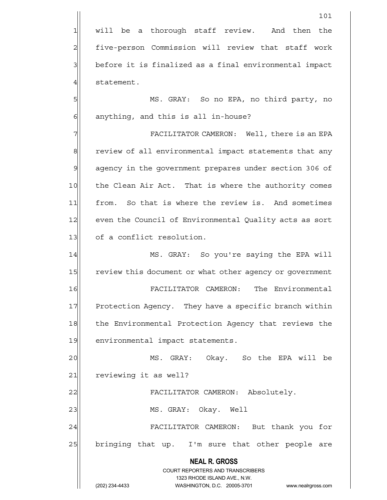1 will be a thorough staff review. And then the 2 five-person Commission will review that staff work 3 before it is finalized as a final environmental impact 4 statement.

5 MS. GRAY: So no EPA, no third party, no  $6$  anything, and this is all in-house?

7 7 FACILITATOR CAMERON: Well, there is an EPA 8 review of all environmental impact statements that any 9 agency in the government prepares under section 306 of 10 the Clean Air Act. That is where the authority comes 11 from. So that is where the review is. And sometimes 12 even the Council of Environmental Quality acts as sort 13 of a conflict resolution.

14 MS. GRAY: So you're saying the EPA will 15 review this document or what other agency or government 16 FACILITATOR CAMERON: The Environmental 17 Protection Agency. They have a specific branch within 18 the Environmental Protection Agency that reviews the 19 environmental impact statements.

20 MS. GRAY: Okay. So the EPA will be 21 reviewing it as well? 22 | FACILITATOR CAMERON: Absolutely. 23 | MS. GRAY: Okay. Well

24 FACILITATOR CAMERON: But thank you for 25 bringing that up. I'm sure that other people are

#### **NEAL R. GROSS** COURT REPORTERS AND TRANSCRIBERS

1323 RHODE ISLAND AVE., N.W.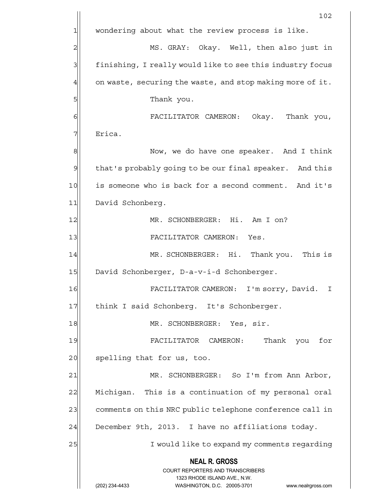|                 | 102                                                                     |  |  |  |  |
|-----------------|-------------------------------------------------------------------------|--|--|--|--|
| 1               | wondering about what the review process is like.                        |  |  |  |  |
| $\overline{c}$  | MS. GRAY: Okay. Well, then also just in                                 |  |  |  |  |
| 3               | finishing, I really would like to see this industry focus               |  |  |  |  |
| 4               | on waste, securing the waste, and stop making more of it.               |  |  |  |  |
| 5               | Thank you.                                                              |  |  |  |  |
| 6               | FACILITATOR CAMERON: Okay. Thank you,                                   |  |  |  |  |
| 7               | Erica.                                                                  |  |  |  |  |
| 8               | Now, we do have one speaker. And I think                                |  |  |  |  |
| 9               | that's probably going to be our final speaker. And this                 |  |  |  |  |
| 10              | is someone who is back for a second comment. And it's                   |  |  |  |  |
| 11              | David Schonberg.                                                        |  |  |  |  |
| 12              | MR. SCHONBERGER: Hi. Am I on?                                           |  |  |  |  |
| 13              | FACILITATOR CAMERON: Yes.                                               |  |  |  |  |
| 14              | MR. SCHONBERGER: Hi. Thank you. This is                                 |  |  |  |  |
| 15              | David Schonberger, D-a-v-i-d Schonberger.                               |  |  |  |  |
| 16              | FACILITATOR CAMERON:<br>I'm sorry, David.<br>I                          |  |  |  |  |
| 17              | think I said Schonberg. It's Schonberger.                               |  |  |  |  |
| 18              | MR. SCHONBERGER: Yes, sir.                                              |  |  |  |  |
| 19              | FACILITATOR CAMERON:<br>Thank you<br>for                                |  |  |  |  |
| 20              | spelling that for us, too.                                              |  |  |  |  |
| $\overline{21}$ | MR. SCHONBERGER: So I'm from Ann Arbor,                                 |  |  |  |  |
| 22              | Michigan. This is a continuation of my personal oral                    |  |  |  |  |
| 23              | comments on this NRC public telephone conference call in                |  |  |  |  |
| 24              | December 9th, 2013. I have no affiliations today.                       |  |  |  |  |
| 25              | I would like to expand my comments regarding                            |  |  |  |  |
|                 | <b>NEAL R. GROSS</b>                                                    |  |  |  |  |
|                 | <b>COURT REPORTERS AND TRANSCRIBERS</b><br>1323 RHODE ISLAND AVE., N.W. |  |  |  |  |
|                 | (202) 234-4433<br>WASHINGTON, D.C. 20005-3701<br>www.nealrgross.com     |  |  |  |  |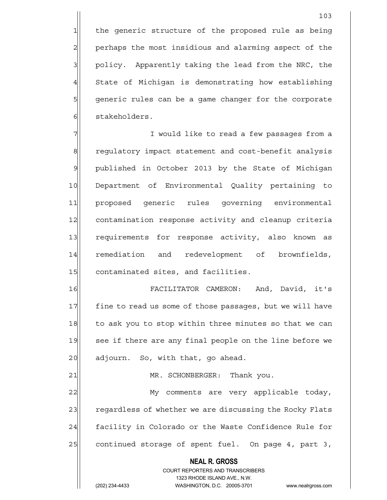1 the generic structure of the proposed rule as being 2 perhaps the most insidious and alarming aspect of the 3 | policy. Apparently taking the lead from the NRC, the  $4$  State of Michigan is demonstrating how establishing 5 | generic rules can be a game changer for the corporate 6 stakeholders.

7 I would like to read a few passages from a 8 regulatory impact statement and cost-benefit analysis 9 published in October 2013 by the State of Michigan 10 Department of Environmental Quality pertaining to 11 proposed generic rules governing environmental 12 contamination response activity and cleanup criteria 13 requirements for response activity, also known as 14 remediation and redevelopment of brownfields, 15 contaminated sites, and facilities.

16 FACILITATOR CAMERON: And, David, it's 17 fine to read us some of those passages, but we will have 18 to ask you to stop within three minutes so that we can 19 see if there are any final people on the line before we 20 adjourn. So, with that, go ahead.

21 MR. SCHONBERGER: Thank you.

22 My comments are very applicable today, 23 regardless of whether we are discussing the Rocky Flats 24 facility in Colorado or the Waste Confidence Rule for 25 continued storage of spent fuel. On page 4, part 3,

# **NEAL R. GROSS**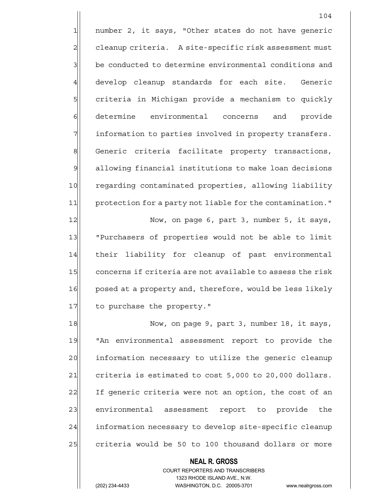1 number 2, it says, "Other states do not have generic 2 cleanup criteria. A site-specific risk assessment must 3 be conducted to determine environmental conditions and 4 develop cleanup standards for each site. Generic 5| criteria in Michigan provide a mechanism to quickly 6 determine environmental concerns and provide 7 | information to parties involved in property transfers. 8 Generic criteria facilitate property transactions, 9 allowing financial institutions to make loan decisions 10 regarding contaminated properties, allowing liability 11 protection for a party not liable for the contamination."

104

12 Now, on page 6, part 3, number 5, it says, 13 | "Purchasers of properties would not be able to limit 14 their liability for cleanup of past environmental 15 concerns if criteria are not available to assess the risk 16 posed at a property and, therefore, would be less likely 17 to purchase the property."

18 Now, on page 9, part 3, number 18, it says, 19 TAn environmental assessment report to provide the 20 information necessary to utilize the generic cleanup 21 criteria is estimated to cost  $5,000$  to 20,000 dollars. 22 If generic criteria were not an option, the cost of an 23 | environmental assessment report to provide the 24 information necessary to develop site-specific cleanup 25 criteria would be 50 to 100 thousand dollars or more

> **NEAL R. GROSS** COURT REPORTERS AND TRANSCRIBERS 1323 RHODE ISLAND AVE., N.W.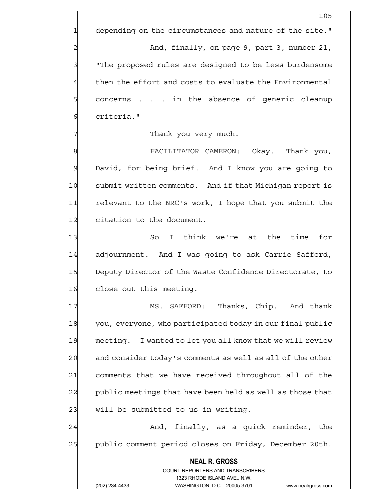1 depending on the circumstances and nature of the site."

2 and, finally, on page 9, part 3, number 21, 3 The proposed rules are designed to be less burdensome  $4$  then the effort and costs to evaluate the Environmental 5 5 5 5 concerns . . . in the absence of generic cleanup 61 criteria."

7 Thank you very much.

8 FACILITATOR CAMERON: Okay. Thank you, 9 David, for being brief. And I know you are going to 10 submit written comments. And if that Michigan report is 11 relevant to the NRC's work, I hope that you submit the 12 citation to the document.

13 13 So I think we're at the time for 14 adjournment. And I was going to ask Carrie Safford, 15 Deputy Director of the Waste Confidence Directorate, to 16 close out this meeting.

17 MS. SAFFORD: Thanks, Chip. And thank 18 you, everyone, who participated today in our final public 19 meeting. I wanted to let you all know that we will review 20 and consider today's comments as well as all of the other 21 comments that we have received throughout all of the 22 public meetings that have been held as well as those that  $23$  will be submitted to us in writing.

24 and, finally, as a quick reminder, the 25 public comment period closes on Friday, December 20th.